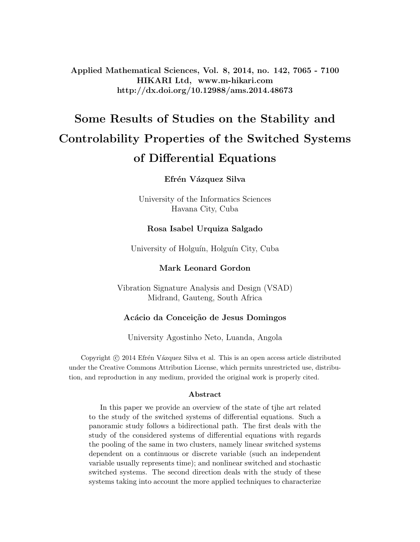Applied Mathematical Sciences, Vol. 8, 2014, no. 142, 7065 - 7100 HIKARI Ltd, www.m-hikari.com http://dx.doi.org/10.12988/ams.2014.48673

# Some Results of Studies on the Stability and Controlability Properties of the Switched Systems of Differential Equations

### Efrén Vázquez Silva

University of the Informatics Sciences Havana City, Cuba

#### Rosa Isabel Urquiza Salgado

University of Holguín, Holguín City, Cuba

### Mark Leonard Gordon

Vibration Signature Analysis and Design (VSAD) Midrand, Gauteng, South Africa

### Acácio da Conceição de Jesus Domingos

University Agostinho Neto, Luanda, Angola

Copyright © 2014 Efrén Vázquez Silva et al. This is an open access article distributed under the Creative Commons Attribution License, which permits unrestricted use, distribution, and reproduction in any medium, provided the original work is properly cited.

#### Abstract

In this paper we provide an overview of the state of tjhe art related to the study of the switched systems of differential equations. Such a panoramic study follows a bidirectional path. The first deals with the study of the considered systems of differential equations with regards the pooling of the same in two clusters, namely linear switched systems dependent on a continuous or discrete variable (such an independent variable usually represents time); and nonlinear switched and stochastic switched systems. The second direction deals with the study of these systems taking into account the more applied techniques to characterize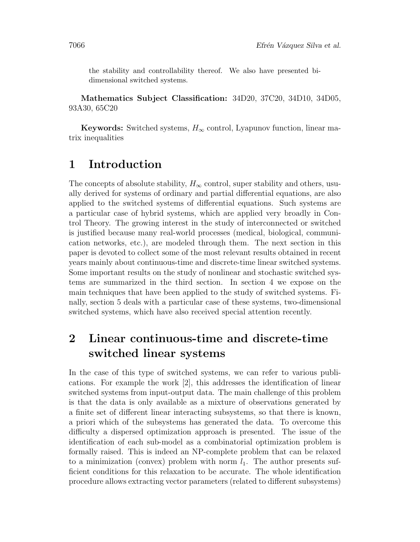the stability and controllability thereof. We also have presented bidimensional switched systems.

Mathematics Subject Classification: 34D20, 37C20, 34D10, 34D05, 93A30, 65C20

Keywords: Switched systems,  $H_{\infty}$  control, Lyapunov function, linear matrix inequalities

## 1 Introduction

The concepts of absolute stability,  $H_{\infty}$  control, super stability and others, usually derived for systems of ordinary and partial differential equations, are also applied to the switched systems of differential equations. Such systems are a particular case of hybrid systems, which are applied very broadly in Control Theory. The growing interest in the study of interconnected or switched is justified because many real-world processes (medical, biological, communication networks, etc.), are modeled through them. The next section in this paper is devoted to collect some of the most relevant results obtained in recent years mainly about continuous-time and discrete-time linear switched systems. Some important results on the study of nonlinear and stochastic switched systems are summarized in the third section. In section 4 we expose on the main techniques that have been applied to the study of switched systems. Finally, section 5 deals with a particular case of these systems, two-dimensional switched systems, which have also received special attention recently.

# 2 Linear continuous-time and discrete-time switched linear systems

In the case of this type of switched systems, we can refer to various publications. For example the work [2], this addresses the identification of linear switched systems from input-output data. The main challenge of this problem is that the data is only available as a mixture of observations generated by a finite set of different linear interacting subsystems, so that there is known, a priori which of the subsystems has generated the data. To overcome this difficulty a dispersed optimization approach is presented. The issue of the identification of each sub-model as a combinatorial optimization problem is formally raised. This is indeed an NP-complete problem that can be relaxed to a minimization (convex) problem with norm  $l_1$ . The author presents sufficient conditions for this relaxation to be accurate. The whole identification procedure allows extracting vector parameters (related to different subsystems)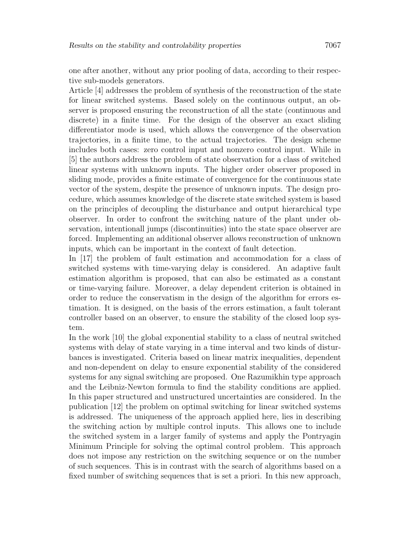one after another, without any prior pooling of data, according to their respective sub-models generators.

Article [4] addresses the problem of synthesis of the reconstruction of the state for linear switched systems. Based solely on the continuous output, an observer is proposed ensuring the reconstruction of all the state (continuous and discrete) in a finite time. For the design of the observer an exact sliding differentiator mode is used, which allows the convergence of the observation trajectories, in a finite time, to the actual trajectories. The design scheme includes both cases: zero control input and nonzero control input. While in [5] the authors address the problem of state observation for a class of switched linear systems with unknown inputs. The higher order observer proposed in sliding mode, provides a finite estimate of convergence for the continuous state vector of the system, despite the presence of unknown inputs. The design procedure, which assumes knowledge of the discrete state switched system is based on the principles of decoupling the disturbance and output hierarchical type observer. In order to confront the switching nature of the plant under observation, intentionall jumps (discontinuities) into the state space observer are forced. Implementing an additional observer allows reconstruction of unknown inputs, which can be important in the context of fault detection.

In [17] the problem of fault estimation and accommodation for a class of switched systems with time-varying delay is considered. An adaptive fault estimation algorithm is proposed, that can also be estimated as a constant or time-varying failure. Moreover, a delay dependent criterion is obtained in order to reduce the conservatism in the design of the algorithm for errors estimation. It is designed, on the basis of the errors estimation, a fault tolerant controller based on an observer, to ensure the stability of the closed loop system.

In the work [10] the global exponential stability to a class of neutral switched systems with delay of state varying in a time interval and two kinds of disturbances is investigated. Criteria based on linear matrix inequalities, dependent and non-dependent on delay to ensure exponential stability of the considered systems for any signal switching are proposed. One Razumikhin type approach and the Leibniz-Newton formula to find the stability conditions are applied. In this paper structured and unstructured uncertainties are considered. In the publication [12] the problem on optimal switching for linear switched systems is addressed. The uniqueness of the approach applied here, lies in describing the switching action by multiple control inputs. This allows one to include the switched system in a larger family of systems and apply the Pontryagin Minimum Principle for solving the optimal control problem. This approach does not impose any restriction on the switching sequence or on the number of such sequences. This is in contrast with the search of algorithms based on a fixed number of switching sequences that is set a priori. In this new approach,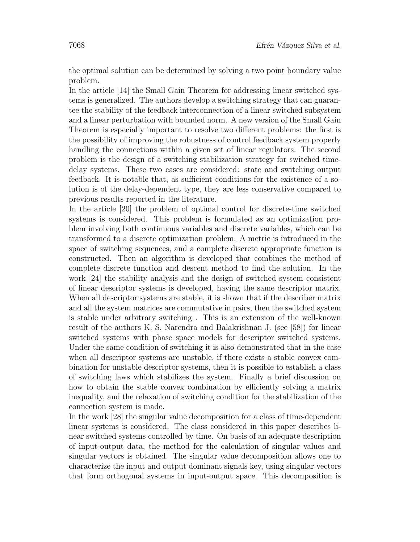the optimal solution can be determined by solving a two point boundary value problem.

In the article [14] the Small Gain Theorem for addressing linear switched systems is generalized. The authors develop a switching strategy that can guarantee the stability of the feedback interconnection of a linear switched subsystem and a linear perturbation with bounded norm. A new version of the Small Gain Theorem is especially important to resolve two different problems: the first is the possibility of improving the robustness of control feedback system properly handling the connections within a given set of linear regulators. The second problem is the design of a switching stabilization strategy for switched timedelay systems. These two cases are considered: state and switching output feedback. It is notable that, as sufficient conditions for the existence of a solution is of the delay-dependent type, they are less conservative compared to previous results reported in the literature.

In the article [20] the problem of optimal control for discrete-time switched systems is considered. This problem is formulated as an optimization problem involving both continuous variables and discrete variables, which can be transformed to a discrete optimization problem. A metric is introduced in the space of switching sequences, and a complete discrete appropriate function is constructed. Then an algorithm is developed that combines the method of complete discrete function and descent method to find the solution. In the work [24] the stability analysis and the design of switched system consistent of linear descriptor systems is developed, having the same descriptor matrix. When all descriptor systems are stable, it is shown that if the describer matrix and all the system matrices are commutative in pairs, then the switched system is stable under arbitrary switching . This is an extension of the well-known result of the authors K. S. Narendra and Balakrishnan J. (see [58]) for linear switched systems with phase space models for descriptor switched systems. Under the same condition of switching it is also demonstrated that in the case when all descriptor systems are unstable, if there exists a stable convex combination for unstable descriptor systems, then it is possible to establish a class of switching laws which stabilizes the system. Finally a brief discussion on how to obtain the stable convex combination by efficiently solving a matrix inequality, and the relaxation of switching condition for the stabilization of the connection system is made.

In the work [28] the singular value decomposition for a class of time-dependent linear systems is considered. The class considered in this paper describes linear switched systems controlled by time. On basis of an adequate description of input-output data, the method for the calculation of singular values and singular vectors is obtained. The singular value decomposition allows one to characterize the input and output dominant signals key, using singular vectors that form orthogonal systems in input-output space. This decomposition is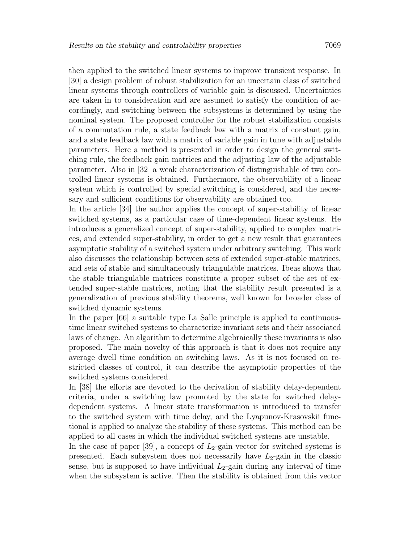then applied to the switched linear systems to improve transient response. In [30] a design problem of robust stabilization for an uncertain class of switched linear systems through controllers of variable gain is discussed. Uncertainties are taken in to consideration and are assumed to satisfy the condition of accordingly, and switching between the subsystems is determined by using the nominal system. The proposed controller for the robust stabilization consists of a commutation rule, a state feedback law with a matrix of constant gain, and a state feedback law with a matrix of variable gain in tune with adjustable parameters. Here a method is presented in order to design the general switching rule, the feedback gain matrices and the adjusting law of the adjustable parameter. Also in [32] a weak characterization of distinguishable of two controlled linear systems is obtained. Furthermore, the observability of a linear system which is controlled by special switching is considered, and the necessary and sufficient conditions for observability are obtained too.

In the article [34] the author applies the concept of super-stability of linear switched systems, as a particular case of time-dependent linear systems. He introduces a generalized concept of super-stability, applied to complex matrices, and extended super-stability, in order to get a new result that guarantees asymptotic stability of a switched system under arbitrary switching. This work also discusses the relationship between sets of extended super-stable matrices, and sets of stable and simultaneously triangulable matrices. Ibeas shows that the stable triangulable matrices constitute a proper subset of the set of extended super-stable matrices, noting that the stability result presented is a generalization of previous stability theorems, well known for broader class of switched dynamic systems.

In the paper [66] a suitable type La Salle principle is applied to continuoustime linear switched systems to characterize invariant sets and their associated laws of change. An algorithm to determine algebraically these invariants is also proposed. The main novelty of this approach is that it does not require any average dwell time condition on switching laws. As it is not focused on restricted classes of control, it can describe the asymptotic properties of the switched systems considered.

In [38] the efforts are devoted to the derivation of stability delay-dependent criteria, under a switching law promoted by the state for switched delaydependent systems. A linear state transformation is introduced to transfer to the switched system with time delay, and the Lyapunov-Krasovskii functional is applied to analyze the stability of these systems. This method can be applied to all cases in which the individual switched systems are unstable.

In the case of paper [39], a concept of  $L_2$ -gain vector for switched systems is presented. Each subsystem does not necessarily have  $L_2$ -gain in the classic sense, but is supposed to have individual  $L_2$ -gain during any interval of time when the subsystem is active. Then the stability is obtained from this vector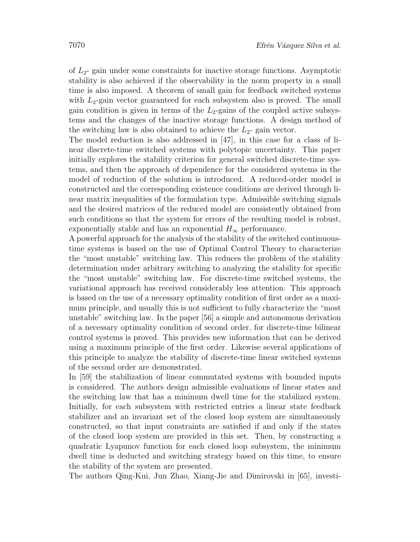of  $L_2$ - gain under some constraints for inactive storage functions. Asymptotic stability is also achieved if the observability in the norm property in a small time is also imposed. A theorem of small gain for feedback switched systems with  $L_2$ -gain vector guaranteed for each subsystem also is proved. The small gain condition is given in terms of the  $L_2$ -gains of the coupled active subsystems and the changes of the inactive storage functions. A design method of the switching law is also obtained to achieve the  $L_2$ - gain vector.

The model reduction is also addressed in [47], in this case for a class of linear discrete-time switched systems with polytopic uncertainty. This paper initially explores the stability criterion for general switched discrete-time systems, and then the approach of dependence for the considered systems in the model of reduction of the solution is introduced. A reduced-order model is constructed and the corresponding existence conditions are derived through linear matrix inequalities of the formulation type. Admissible switching signals and the desired matrices of the reduced model are consistently obtained from such conditions so that the system for errors of the resulting model is robust, exponentially stable and has an exponential  $H_{\infty}$  performance.

A powerful approach for the analysis of the stability of the switched continuoustime systems is based on the use of Optimal Control Theory to characterize the "most unstable" switching law. This reduces the problem of the stability determination under arbitrary switching to analyzing the stability for specific the "most unstable" switching law. For discrete-time switched systems, the variational approach has received considerably less attention. This approach is based on the use of a necessary optimality condition of first order as a maximum principle, and usually this is not sufficient to fully characterize the "most unstable" switching law. In the paper [56] a simple and autonomous derivation of a necessary optimality condition of second order, for discrete-time bilinear control systems is proved. This provides new information that can be derived using a maximum principle of the first order. Likewise several applications of this principle to analyze the stability of discrete-time linear switched systems of the second order are demonstrated.

In [59] the stabilization of linear commutated systems with bounded inputs is considered. The authors design admissible evaluations of linear states and the switching law that has a minimum dwell time for the stabilized system. Initially, for each subsystem with restricted entries a linear state feedback stabilizer and an invariant set of the closed loop system are simultaneously constructed, so that input constraints are satisfied if and only if the states of the closed loop system are provided in this set. Then, by constructing a quadratic Lyapunov function for each closed loop subsystem, the minimum dwell time is deducted and switching strategy based on this time, to ensure the stability of the system are presented.

The authors Qing-Kui, Jun Zhao, Xiang-Jie and Dimirovski in [65], investi-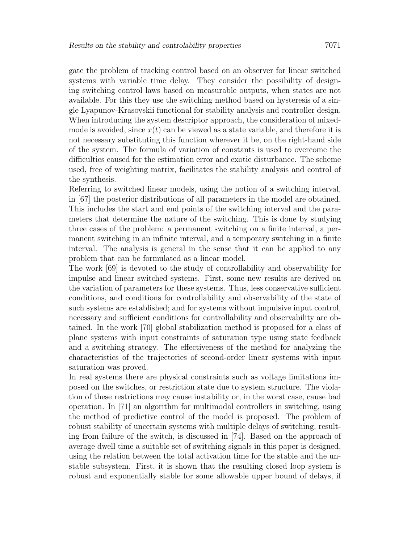gate the problem of tracking control based on an observer for linear switched systems with variable time delay. They consider the possibility of designing switching control laws based on measurable outputs, when states are not available. For this they use the switching method based on hysteresis of a single Lyapunov-Krasovskii functional for stability analysis and controller design. When introducing the system descriptor approach, the consideration of mixedmode is avoided, since  $x(t)$  can be viewed as a state variable, and therefore it is not necessary substituting this function wherever it be, on the right-hand side of the system. The formula of variation of constants is used to overcome the difficulties caused for the estimation error and exotic disturbance. The scheme used, free of weighting matrix, facilitates the stability analysis and control of the synthesis.

Referring to switched linear models, using the notion of a switching interval, in [67] the posterior distributions of all parameters in the model are obtained. This includes the start and end points of the switching interval and the parameters that determine the nature of the switching. This is done by studying three cases of the problem: a permanent switching on a finite interval, a permanent switching in an infinite interval, and a temporary switching in a finite interval. The analysis is general in the sense that it can be applied to any problem that can be formulated as a linear model.

The work [69] is devoted to the study of controllability and observability for impulse and linear switched systems. First, some new results are derived on the variation of parameters for these systems. Thus, less conservative sufficient conditions, and conditions for controllability and observability of the state of such systems are established; and for systems without impulsive input control, necessary and sufficient conditions for controllability and observability are obtained. In the work [70] global stabilization method is proposed for a class of plane systems with input constraints of saturation type using state feedback and a switching strategy. The effectiveness of the method for analyzing the characteristics of the trajectories of second-order linear systems with input saturation was proved.

In real systems there are physical constraints such as voltage limitations imposed on the switches, or restriction state due to system structure. The violation of these restrictions may cause instability or, in the worst case, cause bad operation. In [71] an algorithm for multimodal controllers in switching, using the method of predictive control of the model is proposed. The problem of robust stability of uncertain systems with multiple delays of switching, resulting from failure of the switch, is discussed in [74]. Based on the approach of average dwell time a suitable set of switching signals in this paper is designed, using the relation between the total activation time for the stable and the unstable subsystem. First, it is shown that the resulting closed loop system is robust and exponentially stable for some allowable upper bound of delays, if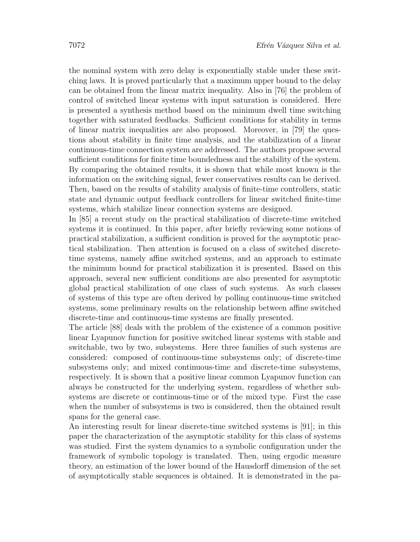the nominal system with zero delay is exponentially stable under these switching laws. It is proved particularly that a maximum upper bound to the delay can be obtained from the linear matrix inequality. Also in [76] the problem of control of switched linear systems with input saturation is considered. Here is presented a synthesis method based on the minimum dwell time switching together with saturated feedbacks. Sufficient conditions for stability in terms of linear matrix inequalities are also proposed. Moreover, in [79] the questions about stability in finite time analysis, and the stabilization of a linear continuous-time connection system are addressed. The authors propose several sufficient conditions for finite time boundedness and the stability of the system. By comparing the obtained results, it is shown that while most known is the information on the switching signal, fewer conservatives results can be derived. Then, based on the results of stability analysis of finite-time controllers, static state and dynamic output feedback controllers for linear switched finite-time systems, which stabilize linear connection systems are designed.

In [85] a recent study on the practical stabilization of discrete-time switched systems it is continued. In this paper, after briefly reviewing some notions of practical stabilization, a sufficient condition is proved for the asymptotic practical stabilization. Then attention is focused on a class of switched discretetime systems, namely affine switched systems, and an approach to estimate the minimum bound for practical stabilization it is presented. Based on this approach, several new sufficient conditions are also presented for asymptotic global practical stabilization of one class of such systems. As such classes of systems of this type are often derived by polling continuous-time switched systems, some preliminary results on the relationship between affine switched discrete-time and continuous-time systems are finally presented.

The article [88] deals with the problem of the existence of a common positive linear Lyapunov function for positive switched linear systems with stable and switchable, two by two, subsystems. Here three families of such systems are considered: composed of continuous-time subsystems only; of discrete-time subsystems only; and mixed continuous-time and discrete-time subsystems, respectively. It is shown that a positive linear common Lyapunov function can always be constructed for the underlying system, regardless of whether subsystems are discrete or continuous-time or of the mixed type. First the case when the number of subsystems is two is considered, then the obtained result spans for the general case.

An interesting result for linear discrete-time switched systems is [91]; in this paper the characterization of the asymptotic stability for this class of systems was studied. First the system dynamics to a symbolic configuration under the framework of symbolic topology is translated. Then, using ergodic measure theory, an estimation of the lower bound of the Hausdorff dimension of the set of asymptotically stable sequences is obtained. It is demonstrated in the pa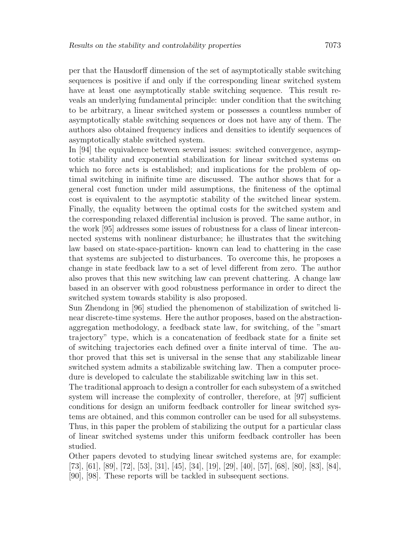per that the Hausdorff dimension of the set of asymptotically stable switching sequences is positive if and only if the corresponding linear switched system have at least one asymptotically stable switching sequence. This result reveals an underlying fundamental principle: under condition that the switching to be arbitrary, a linear switched system or possesses a countless number of asymptotically stable switching sequences or does not have any of them. The authors also obtained frequency indices and densities to identify sequences of asymptotically stable switched system.

In [94] the equivalence between several issues: switched convergence, asymptotic stability and exponential stabilization for linear switched systems on which no force acts is established; and implications for the problem of optimal switching in inifinite time are discussed. The author shows that for a general cost function under mild assumptions, the finiteness of the optimal cost is equivalent to the asymptotic stability of the switched linear system. Finally, the equality between the optimal costs for the switched system and the corresponding relaxed differential inclusion is proved. The same author, in the work [95] addresses some issues of robustness for a class of linear interconnected systems with nonlinear disturbance; he illustrates that the switching law based on state-space-partition- known can lead to chattering in the case that systems are subjected to disturbances. To overcome this, he proposes a change in state feedback law to a set of level different from zero. The author also proves that this new switching law can prevent chattering. A change law based in an observer with good robustness performance in order to direct the switched system towards stability is also proposed.

Sun Zhendong in [96] studied the phenomenon of stabilization of switched linear discrete-time systems. Here the author proposes, based on the abstractionaggregation methodology, a feedback state law, for switching, of the "smart trajectory" type, which is a concatenation of feedback state for a finite set of switching trajectories each defined over a finite interval of time. The author proved that this set is universal in the sense that any stabilizable linear switched system admits a stabilizable switching law. Then a computer procedure is developed to calculate the stabilizable switching law in this set.

The traditional approach to design a controller for each subsystem of a switched system will increase the complexity of controller, therefore, at [97] sufficient conditions for design an uniform feedback controller for linear switched systems are obtained, and this common controller can be used for all subsystems. Thus, in this paper the problem of stabilizing the output for a particular class of linear switched systems under this uniform feedback controller has been studied.

Other papers devoted to studying linear switched systems are, for example: [73], [61], [89], [72], [53], [31], [45], [34], [19], [29], [40], [57], [68], [80], [83], [84], [90], [98]. These reports will be tackled in subsequent sections.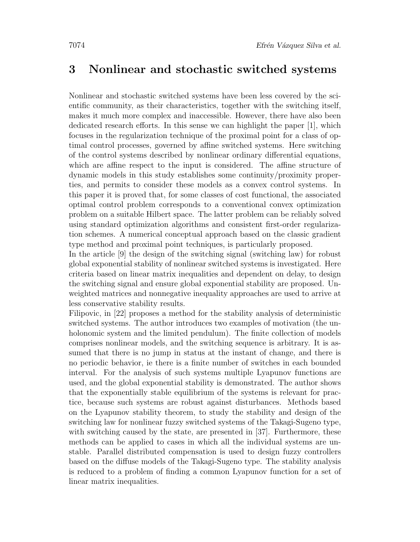### 3 Nonlinear and stochastic switched systems

Nonlinear and stochastic switched systems have been less covered by the scientific community, as their characteristics, together with the switching itself, makes it much more complex and inaccessible. However, there have also been dedicated research efforts. In this sense we can highlight the paper [1], which focuses in the regularization technique of the proximal point for a class of optimal control processes, governed by affine switched systems. Here switching of the control systems described by nonlinear ordinary differential equations, which are affine respect to the input is considered. The affine structure of dynamic models in this study establishes some continuity/proximity properties, and permits to consider these models as a convex control systems. In this paper it is proved that, for some classes of cost functional, the associated optimal control problem corresponds to a conventional convex optimization problem on a suitable Hilbert space. The latter problem can be reliably solved using standard optimization algorithms and consistent first-order regularization schemes. A numerical conceptual approach based on the classic gradient type method and proximal point techniques, is particularly proposed.

In the article [9] the design of the switching signal (switching law) for robust global exponential stability of nonlinear switched systems is investigated. Here criteria based on linear matrix inequalities and dependent on delay, to design the switching signal and ensure global exponential stability are proposed. Unweighted matrices and nonnegative inequality approaches are used to arrive at less conservative stability results.

Filipovic, in [22] proposes a method for the stability analysis of deterministic switched systems. The author introduces two examples of motivation (the unholonomic system and the limited pendulum). The finite collection of models comprises nonlinear models, and the switching sequence is arbitrary. It is assumed that there is no jump in status at the instant of change, and there is no periodic behavior, ie there is a finite number of switches in each bounded interval. For the analysis of such systems multiple Lyapunov functions are used, and the global exponential stability is demonstrated. The author shows that the exponentially stable equilibrium of the systems is relevant for practice, because such systems are robust against disturbances. Methods based on the Lyapunov stability theorem, to study the stability and design of the switching law for nonlinear fuzzy switched systems of the Takagi-Sugeno type, with switching caused by the state, are presented in [37]. Furthermore, these methods can be applied to cases in which all the individual systems are unstable. Parallel distributed compensation is used to design fuzzy controllers based on the diffuse models of the Takagi-Sugeno type. The stability analysis is reduced to a problem of finding a common Lyapunov function for a set of linear matrix inequalities.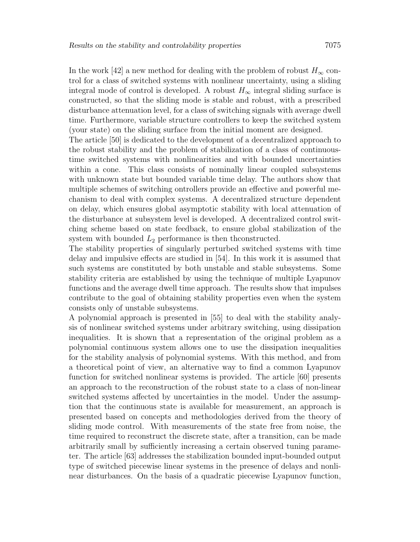In the work [42] a new method for dealing with the problem of robust  $H_{\infty}$  control for a class of switched systems with nonlinear uncertainty, using a sliding integral mode of control is developed. A robust  $H_{\infty}$  integral sliding surface is constructed, so that the sliding mode is stable and robust, with a prescribed disturbance attenuation level, for a class of switching signals with average dwell time. Furthermore, variable structure controllers to keep the switched system (your state) on the sliding surface from the initial moment are designed.

The article [50] is dedicated to the development of a decentralized approach to the robust stability and the problem of stabilization of a class of continuoustime switched systems with nonlinearities and with bounded uncertainties within a cone. This class consists of nominally linear coupled subsystems with unknown state but bounded variable time delay. The authors show that multiple schemes of switching ontrollers provide an effective and powerful mechanism to deal with complex systems. A decentralized structure dependent on delay, which ensures global asymptotic stability with local attenuation of the disturbance at subsystem level is developed. A decentralized control switching scheme based on state feedback, to ensure global stabilization of the system with bounded  $L_2$  performance is then the onstructed.

The stability properties of singularly perturbed switched systems with time delay and impulsive effects are studied in [54]. In this work it is assumed that such systems are constituted by both unstable and stable subsystems. Some stability criteria are established by using the technique of multiple Lyapunov functions and the average dwell time approach. The results show that impulses contribute to the goal of obtaining stability properties even when the system consists only of unstable subsystems.

A polynomial approach is presented in [55] to deal with the stability analysis of nonlinear switched systems under arbitrary switching, using dissipation inequalities. It is shown that a representation of the original problem as a polynomial continuous system allows one to use the dissipation inequalities for the stability analysis of polynomial systems. With this method, and from a theoretical point of view, an alternative way to find a common Lyapunov function for switched nonlinear systems is provided. The article [60] presents an approach to the reconstruction of the robust state to a class of non-linear switched systems affected by uncertainties in the model. Under the assumption that the continuous state is available for measurement, an approach is presented based on concepts and methodologies derived from the theory of sliding mode control. With measurements of the state free from noise, the time required to reconstruct the discrete state, after a transition, can be made arbitrarily small by sufficiently increasing a certain observed tuning parameter. The article [63] addresses the stabilization bounded input-bounded output type of switched piecewise linear systems in the presence of delays and nonlinear disturbances. On the basis of a quadratic piecewise Lyapunov function,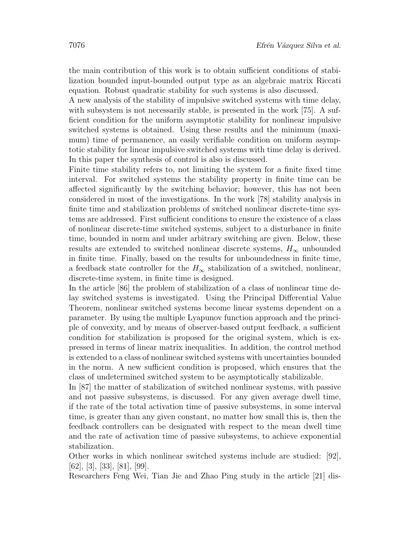the main contribution of this work is to obtain sufficient conditions of stabilization bounded input-bounded output type as an algebraic matrix Riccati equation. Robust quadratic stability for such systems is also discussed.

A new analysis of the stability of impulsive switched systems with time delay, with subsystem is not necessarily stable, is presented in the work [75]. A sufficient condition for the uniform asymptotic stability for nonlinear impulsive switched systems is obtained. Using these results and the minimum (maximum) time of permanence, an easily verifiable condition on uniform asymptotic stability for linear impulsive switched systems with time delay is derived. In this paper the synthesis of control is also is discussed.

Finite time stability refers to, not limiting the system for a finite fixed time interval. For switched systems the stability property in finite time can be affected significantly by the switching behavior; however, this has not been considered in most of the investigations. In the work [78] stability analysis in finite time and stabilization problems of switched nonlinear discrete-time systems are addressed. First sufficient conditions to ensure the existence of a class of nonlinear discrete-time switched systems, subject to a disturbance in finite time, bounded in norm and under arbitrary switching are given. Below, these results are extended to switched nonlinear discrete systems,  $H_{\infty}$  unbounded in finite time. Finally, based on the results for unboundedness in finite time, a feedback state controller for the  $H_{\infty}$  stabilization of a switched, nonlinear, discrete-time system, in finite time is designed.

In the article [86] the problem of stabilization of a class of nonlinear time delay switched systems is investigated. Using the Principal Differential Value Theorem, nonlinear switched systems become linear systems dependent on a parameter. By using the multiple Lyapunov function approach and the principle of convexity, and by means of observer-based output feedback, a sufficient condition for stabilization is proposed for the original system, which is expressed in terms of linear matrix inequalities. In addition, the control method is extended to a class of nonlinear switched systems with uncertainties bounded in the norm. A new sufficient condition is proposed, which ensures that the class of undetermined switched system to be asymptotically stabilizable.

In [87] the matter of stabilization of switched nonlinear systems, with passive and not passive subsystems, is discussed. For any given average dwell time, if the rate of the total activation time of passive subsystems, in some interval time, is greater than any given constant, no matter how small this is, then the feedback controllers can be designated with respect to the mean dwell time and the rate of activation time of passive subsystems, to achieve exponential stabilization.

Other works in which nonlinear switched systems include are studied: [92], [62], [3], [33], [81], [99].

Researchers Feng Wei, Tian Jie and Zhao Ping study in the article [21] dis-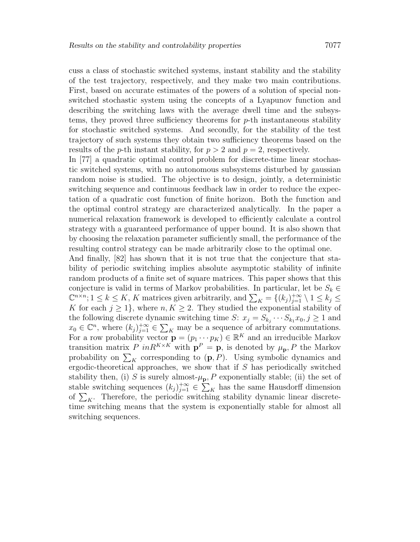cuss a class of stochastic switched systems, instant stability and the stability of the test trajectory, respectively, and they make two main contributions. First, based on accurate estimates of the powers of a solution of special nonswitched stochastic system using the concepts of a Lyapunov function and describing the switching laws with the average dwell time and the subsystems, they proved three sufficiency theorems for  $p$ -th instantaneous stability for stochastic switched systems. And secondly, for the stability of the test trajectory of such systems they obtain two sufficiency theorems based on the results of the *p*-th instant stability, for  $p > 2$  and  $p = 2$ , respectively.

In [77] a quadratic optimal control problem for discrete-time linear stochastic switched systems, with no autonomous subsystems disturbed by gaussian random noise is studied. The objective is to design, jointly, a deterministic switching sequence and continuous feedback law in order to reduce the expectation of a quadratic cost function of finite horizon. Both the function and the optimal control strategy are characterized analytically. In the paper a numerical relaxation framework is developed to efficiently calculate a control strategy with a guaranteed performance of upper bound. It is also shown that by choosing the relaxation parameter sufficiently small, the performance of the resulting control strategy can be made arbitrarily close to the optimal one.

And finally, [82] has shown that it is not true that the conjecture that stability of periodic switching implies absolute asymptotic stability of infinite random products of a finite set of square matrices. This paper shows that this conjecture is valid in terms of Markov probabilities. In particular, let be  $S_k \in$  $\mathbb{C}^{n \times n}$ ;  $1 \le k \le K$ , K matrices given arbitrarily, and  $\sum_{K} = \{(k_j)_{j=1}^{+\infty} \setminus 1 \le k_j \le k_j\}$ K for each  $j \geq 1$ , where  $n, K \geq 2$ . They studied the exponential stability of the following discrete dynamic switching time  $S: x_j = S_{k_j} \cdots S_{k_1} x_0, j \ge 1$  and  $x_0 \in \mathbb{C}^n$ , where  $(k_j)_{j=1}^{+\infty} \in \sum_{K}$  may be a sequence of arbitrary commutations. For a row probability vector  $\mathbf{p} = (p_1 \cdots p_K) \in \mathbb{R}^K$  and an irreducible Markov transition matrix P in  $R^{K \times K}$  with  $p^P = p$ , is denoted by  $\mu_p$ , P the Markov probability on  $\sum_{K}$  corresponding to  $(p, P)$ . Using symbolic dynamics and ergodic-theoretical approaches, we show that if  $S$  has periodically switched stability then, (i) S is surely almost- $\mu_{\mathbf{p}}, P$  exponentially stable; (ii) the set of stable switching sequences  $(k_j)_{j=1}^{+\infty} \in \sum_K$  has the same Hausdorff dimension of  $\sum_{K}$ . Therefore, the periodic switching stability dynamic linear discretetime switching means that the system is exponentially stable for almost all switching sequences.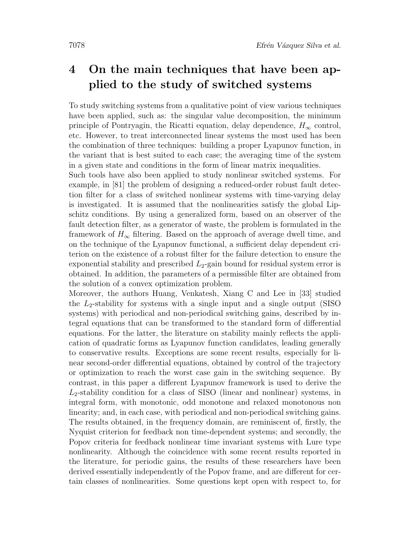# 4 On the main techniques that have been applied to the study of switched systems

To study switching systems from a qualitative point of view various techniques have been applied, such as: the singular value decomposition, the minimum principle of Pontryagin, the Ricatti equation, delay dependence,  $H_{\infty}$  control, etc. However, to treat interconnected linear systems the most used has been the combination of three techniques: building a proper Lyapunov function, in the variant that is best suited to each case; the averaging time of the system in a given state and conditions in the form of linear matrix inequalities.

Such tools have also been applied to study nonlinear switched systems. For example, in [81] the problem of designing a reduced-order robust fault detection filter for a class of switched nonlinear systems with time-varying delay is investigated. It is assumed that the nonlinearities satisfy the global Lipschitz conditions. By using a generalized form, based on an observer of the fault detection filter, as a generator of waste, the problem is formulated in the framework of  $H_{\infty}$  filtering. Based on the approach of average dwell time, and on the technique of the Lyapunov functional, a sufficient delay dependent criterion on the existence of a robust filter for the failure detection to ensure the exponential stability and prescribed  $L_2$ -gain bound for residual system error is obtained. In addition, the parameters of a permissible filter are obtained from the solution of a convex optimization problem.

Moreover, the authors Huang, Venkatesh, Xiang C and Lee in [33] studied the  $L_2$ -stability for systems with a single input and a single output (SISO) systems) with periodical and non-periodical switching gains, described by integral equations that can be transformed to the standard form of differential equations. For the latter, the literature on stability mainly reflects the application of quadratic forms as Lyapunov function candidates, leading generally to conservative results. Exceptions are some recent results, especially for linear second-order differential equations, obtained by control of the trajectory or optimization to reach the worst case gain in the switching sequence. By contrast, in this paper a different Lyapunov framework is used to derive the  $L_2$ -stability condition for a class of SISO (linear and nonlinear) systems, in integral form, with monotonic, odd monotone and relaxed monotonous non linearity; and, in each case, with periodical and non-periodical switching gains. The results obtained, in the frequency domain, are reminiscent of, firstly, the Nyquist criterion for feedback non time-dependent systems; and secondly, the Popov criteria for feedback nonlinear time invariant systems with Lure type nonlinearity. Although the coincidence with some recent results reported in the literature, for periodic gains, the results of these researchers have been derived essentially independently of the Popov frame, and are different for certain classes of nonlinearities. Some questions kept open with respect to, for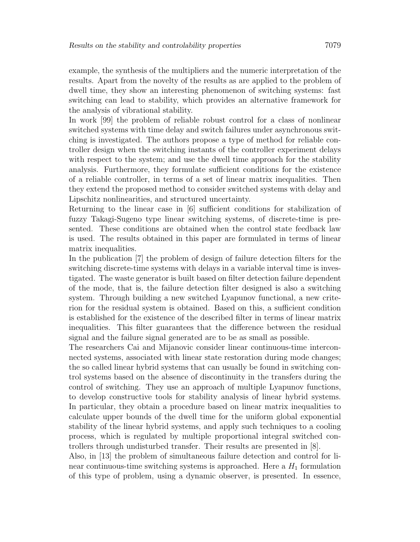example, the synthesis of the multipliers and the numeric interpretation of the results. Apart from the novelty of the results as are applied to the problem of dwell time, they show an interesting phenomenon of switching systems: fast switching can lead to stability, which provides an alternative framework for the analysis of vibrational stability.

In work [99] the problem of reliable robust control for a class of nonlinear switched systems with time delay and switch failures under asynchronous switching is investigated. The authors propose a type of method for reliable controller design when the switching instants of the controller experiment delays with respect to the system; and use the dwell time approach for the stability analysis. Furthermore, they formulate sufficient conditions for the existence of a reliable controller, in terms of a set of linear matrix inequalities. Then they extend the proposed method to consider switched systems with delay and Lipschitz nonlinearities, and structured uncertainty.

Returning to the linear case in [6] sufficient conditions for stabilization of fuzzy Takagi-Sugeno type linear switching systems, of discrete-time is presented. These conditions are obtained when the control state feedback law is used. The results obtained in this paper are formulated in terms of linear matrix inequalities.

In the publication [7] the problem of design of failure detection filters for the switching discrete-time systems with delays in a variable interval time is investigated. The waste generator is built based on filter detection failure dependent of the mode, that is, the failure detection filter designed is also a switching system. Through building a new switched Lyapunov functional, a new criterion for the residual system is obtained. Based on this, a sufficient condition is established for the existence of the described filter in terms of linear matrix inequalities. This filter guarantees that the difference between the residual signal and the failure signal generated are to be as small as possible.

The researchers Cai and Mijanovic consider linear continuous-time interconnected systems, associated with linear state restoration during mode changes; the so called linear hybrid systems that can usually be found in switching control systems based on the absence of discontinuity in the transfers during the control of switching. They use an approach of multiple Lyapunov functions, to develop constructive tools for stability analysis of linear hybrid systems. In particular, they obtain a procedure based on linear matrix inequalities to calculate upper bounds of the dwell time for the uniform global exponential stability of the linear hybrid systems, and apply such techniques to a cooling process, which is regulated by multiple proportional integral switched controllers through undisturbed transfer. Their results are presented in [8].

Also, in [13] the problem of simultaneous failure detection and control for linear continuous-time switching systems is approached. Here a  $H_1$  formulation of this type of problem, using a dynamic observer, is presented. In essence,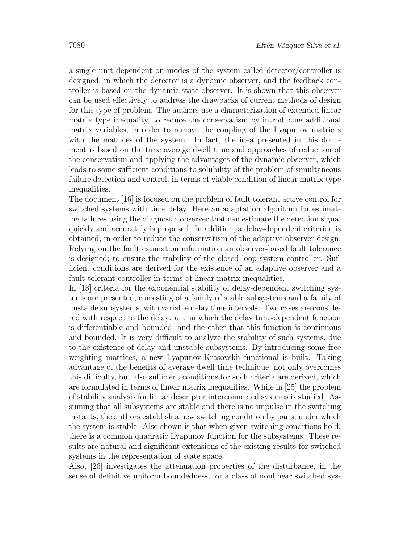a single unit dependent on modes of the system called detector/controller is designed, in which the detector is a dynamic observer, and the feedback controller is based on the dynamic state observer. It is shown that this observer can be used effectively to address the drawbacks of current methods of design for this type of problem. The authors use a characterization of extended linear matrix type inequality, to reduce the conservatism by introducing additional matrix variables, in order to remove the coupling of the Lyapunov matrices with the matrices of the system. In fact, the idea presented in this document is based on the time average dwell time and approaches of reduction of the conservatism and applying the advantages of the dynamic observer, which leads to some sufficient conditions to solubility of the problem of simultaneous failure detection and control, in terms of viable condition of linear matrix type inequalities.

The document [16] is focused on the problem of fault tolerant active control for switched systems with time delay. Here an adaptation algorithm for estimating failures using the diagnostic observer that can estimate the detection signal quickly and accurately is proposed. In addition, a delay-dependent criterion is obtained, in order to reduce the conservatism of the adaptive observer design. Relying on the fault estimation information an observer-based fault tolerance is designed; to ensure the stability of the closed loop system controller. Sufficient conditions are derived for the existence of an adaptive observer and a fault tolerant controller in terms of linear matrix inequalities.

In [18] criteria for the exponential stability of delay-dependent switching systems are presented, consisting of a family of stable subsystems and a family of unstable subsystems, with variable delay time intervals. Two cases are considered with respect to the delay: one in which the delay time-dependent function is differentiable and bounded; and the other that this function is continuous and bounded. It is very difficult to analyze the stability of such systems, due to the existence of delay and unstable subsystems. By introducing some free weighting matrices, a new Lyapunov-Krasovskii functional is built. Taking advantage of the benefits of average dwell time technique, not only overcomes this difficulty, but also sufficient conditions for such criteria are derived, which are formulated in terms of linear matrix inequalities. While in [25] the problem of stability analysis for linear descriptor interconnected systems is studied. Assuming that all subsystems are stable and there is no impulse in the switching instants, the authors establish a new switching condition by pairs, under which the system is stable. Also shown is that when given switching conditions hold, there is a common quadratic Lyapunov function for the subsystems. These results are natural and significant extensions of the existing results for switched systems in the representation of state space.

Also, [26] investigates the attenuation properties of the disturbance, in the sense of definitive uniform boundedness, for a class of nonlinear switched sys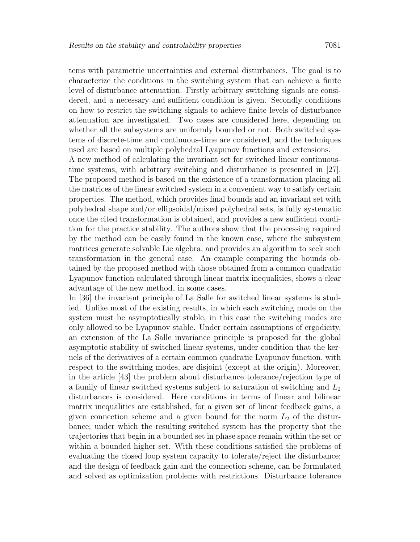tems with parametric uncertainties and external disturbances. The goal is to characterize the conditions in the switching system that can achieve a finite level of disturbance attenuation. Firstly arbitrary switching signals are considered, and a necessary and sufficient condition is given. Secondly conditions on how to restrict the switching signals to achieve finite levels of disturbance attenuation are investigated. Two cases are considered here, depending on whether all the subsystems are uniformly bounded or not. Both switched systems of discrete-time and continuous-time are considered, and the techniques used are based on multiple polyhedral Lyapunov functions and extensions.

A new method of calculating the invariant set for switched linear continuoustime systems, with arbitrary switching and disturbance is presented in [27]. The proposed method is based on the existence of a transformation placing all the matrices of the linear switched system in a convenient way to satisfy certain properties. The method, which provides final bounds and an invariant set with polyhedral shape and/or ellipsoidal/mixed polyhedral sets, is fully systematic once the cited transformation is obtained, and provides a new sufficient condition for the practice stability. The authors show that the processing required by the method can be easily found in the known case, where the subsystem matrices generate solvable Lie algebra, and provides an algorithm to seek such transformation in the general case. An example comparing the bounds obtained by the proposed method with those obtained from a common quadratic Lyapunov function calculated through linear matrix inequalities, shows a clear advantage of the new method, in some cases.

In [36] the invariant principle of La Salle for switched linear systems is studied. Unlike most of the existing results, in which each switching mode on the system must be asymptotically stable, in this case the switching modes are only allowed to be Lyapunov stable. Under certain assumptions of ergodicity, an extension of the La Salle invariance principle is proposed for the global asymptotic stability of switched linear systems, under condition that the kernels of the derivatives of a certain common quadratic Lyapunov function, with respect to the switching modes, are disjoint (except at the origin). Moreover, in the article [43] the problem about disturbance tolerance/rejection type of a family of linear switched systems subject to saturation of switching and  $L_2$ disturbances is considered. Here conditions in terms of linear and bilinear matrix inequalities are established, for a given set of linear feedback gains, a given connection scheme and a given bound for the norm  $L_2$  of the disturbance; under which the resulting switched system has the property that the trajectories that begin in a bounded set in phase space remain within the set or within a bounded higher set. With these conditions satisfied the problems of evaluating the closed loop system capacity to tolerate/reject the disturbance; and the design of feedback gain and the connection scheme, can be formulated and solved as optimization problems with restrictions. Disturbance tolerance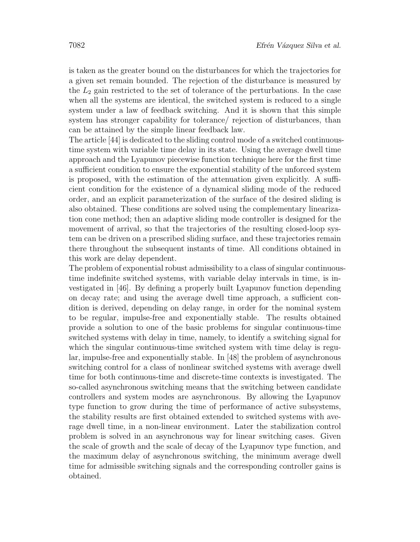is taken as the greater bound on the disturbances for which the trajectories for a given set remain bounded. The rejection of the disturbance is measured by the  $L_2$  gain restricted to the set of tolerance of the perturbations. In the case when all the systems are identical, the switched system is reduced to a single system under a law of feedback switching. And it is shown that this simple system has stronger capability for tolerance/ rejection of disturbances, than can be attained by the simple linear feedback law.

The article [44] is dedicated to the sliding control mode of a switched continuoustime system with variable time delay in its state. Using the average dwell time approach and the Lyapunov piecewise function technique here for the first time a sufficient condition to ensure the exponential stability of the unforced system is proposed, with the estimation of the attenuation given explicitly. A sufficient condition for the existence of a dynamical sliding mode of the reduced order, and an explicit parameterization of the surface of the desired sliding is also obtained. These conditions are solved using the complementary linearization cone method; then an adaptive sliding mode controller is designed for the movement of arrival, so that the trajectories of the resulting closed-loop system can be driven on a prescribed sliding surface, and these trajectories remain there throughout the subsequent instants of time. All conditions obtained in this work are delay dependent.

The problem of exponential robust admissibility to a class of singular continuoustime indefinite switched systems, with variable delay intervals in time, is investigated in [46]. By defining a properly built Lyapunov function depending on decay rate; and using the average dwell time approach, a sufficient condition is derived, depending on delay range, in order for the nominal system to be regular, impulse-free and exponentially stable. The results obtained provide a solution to one of the basic problems for singular continuous-time switched systems with delay in time, namely, to identify a switching signal for which the singular continuous-time switched system with time delay is regular, impulse-free and exponentially stable. In [48] the problem of asynchronous switching control for a class of nonlinear switched systems with average dwell time for both continuous-time and discrete-time contexts is investigated. The so-called asynchronous switching means that the switching between candidate controllers and system modes are asynchronous. By allowing the Lyapunov type function to grow during the time of performance of active subsystems, the stability results are first obtained extended to switched systems with average dwell time, in a non-linear environment. Later the stabilization control problem is solved in an asynchronous way for linear switching cases. Given the scale of growth and the scale of decay of the Lyapunov type function, and the maximum delay of asynchronous switching, the minimum average dwell time for admissible switching signals and the corresponding controller gains is obtained.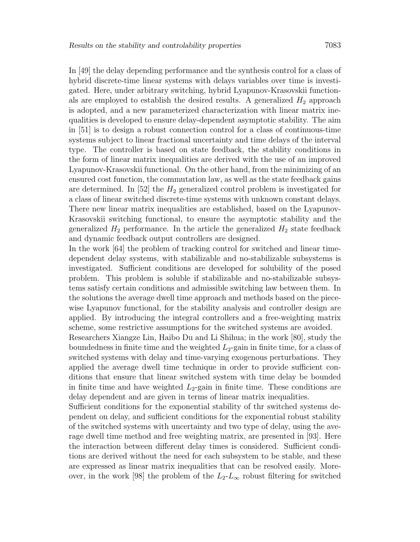In [49] the delay depending performance and the synthesis control for a class of hybrid discrete-time linear systems with delays variables over time is investigated. Here, under arbitrary switching, hybrid Lyapunov-Krasovskii functionals are employed to establish the desired results. A generalized  $H_2$  approach is adopted, and a new parameterized characterization with linear matrix inequalities is developed to ensure delay-dependent asymptotic stability. The aim in [51] is to design a robust connection control for a class of continuous-time systems subject to linear fractional uncertainty and time delays of the interval type. The controller is based on state feedback, the stability conditions in the form of linear matrix inequalities are derived with the use of an improved Lyapunov-Krasovskii functional. On the other hand, from the minimizing of an ensured cost function, the commutation law, as well as the state feedback gains are determined. In [52] the  $H_2$  generalized control problem is investigated for a class of linear switched discrete-time systems with unknown constant delays. There new linear matrix inequalities are established, based on the Lyapunov-Krasovskii switching functional, to ensure the asymptotic stability and the generalized  $H_2$  performance. In the article the generalized  $H_2$  state feedback and dynamic feedback output controllers are designed.

In the work [64] the problem of tracking control for switched and linear timedependent delay systems, with stabilizable and no-stabilizable subsystems is investigated. Sufficient conditions are developed for solubility of the posed problem. This problem is soluble if stabilizable and no-stabilizable subsystems satisfy certain conditions and admissible switching law between them. In the solutions the average dwell time approach and methods based on the piecewise Lyapunov functional, for the stability analysis and controller design are applied. By introducing the integral controllers and a free-weighting matrix scheme, some restrictive assumptions for the switched systems are avoided.

Researchers Xiangze Lin, Haibo Du and Li Shihua; in the work [80], study the boundedness in finite time and the weighted  $L_2$ -gain in finite time, for a class of switched systems with delay and time-varying exogenous perturbations. They applied the average dwell time technique in order to provide sufficient conditions that ensure that linear switched system with time delay be bounded in finite time and have weighted  $L_2$ -gain in finite time. These conditions are delay dependent and are given in terms of linear matrix inequalities.

Sufficient conditions for the exponential stability of thr switched systems dependent on delay, and sufficient conditions for the exponential robust stability of the switched systems with uncertainty and two type of delay, using the average dwell time method and free weighting matrix, are presented in [93]. Here the interaction between different delay times is considered. Sufficient conditions are derived without the need for each subsystem to be stable, and these are expressed as linear matrix inequalities that can be resolved easily. Moreover, in the work [98] the problem of the  $L_2-L_\infty$  robust filtering for switched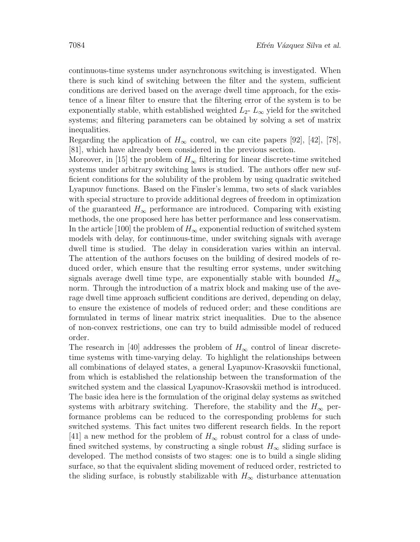continuous-time systems under asynchronous switching is investigated. When there is such kind of switching between the filter and the system, sufficient conditions are derived based on the average dwell time approach, for the existence of a linear filter to ensure that the filtering error of the system is to be exponentially stable, whith established weighted  $L_2$ -  $L_{\infty}$  yield for the switched systems; and filtering parameters can be obtained by solving a set of matrix inequalities.

Regarding the application of  $H_{\infty}$  control, we can cite papers [92], [42], [78], [81], which have already been considered in the previous section.

Moreover, in [15] the problem of  $H_{\infty}$  filtering for linear discrete-time switched systems under arbitrary switching laws is studied. The authors offer new sufficient conditions for the solubility of the problem by using quadratic switched Lyapunov functions. Based on the Finsler's lemma, two sets of slack variables with special structure to provide additional degrees of freedom in optimization of the guaranteed  $H_{\infty}$  performance are introduced. Comparing with existing methods, the one proposed here has better performance and less conservatism. In the article [100] the problem of  $H_{\infty}$  exponential reduction of switched system models with delay, for continuous-time, under switching signals with average dwell time is studied. The delay in consideration varies within an interval. The attention of the authors focuses on the building of desired models of reduced order, which ensure that the resulting error systems, under switching signals average dwell time type, are exponentially stable with bounded  $H_{\infty}$ norm. Through the introduction of a matrix block and making use of the average dwell time approach sufficient conditions are derived, depending on delay, to ensure the existence of models of reduced order; and these conditions are formulated in terms of linear matrix strict inequalities. Due to the absence of non-convex restrictions, one can try to build admissible model of reduced order.

The research in [40] addresses the problem of  $H_{\infty}$  control of linear discretetime systems with time-varying delay. To highlight the relationships between all combinations of delayed states, a general Lyapunov-Krasovskii functional, from which is established the relationship between the transformation of the switched system and the classical Lyapunov-Krasovskii method is introduced. The basic idea here is the formulation of the original delay systems as switched systems with arbitrary switching. Therefore, the stability and the  $H_{\infty}$  performance problems can be reduced to the corresponding problems for such switched systems. This fact unites two different research fields. In the report [41] a new method for the problem of  $H_{\infty}$  robust control for a class of undefined switched systems, by constructing a single robust  $H_{\infty}$  sliding surface is developed. The method consists of two stages: one is to build a single sliding surface, so that the equivalent sliding movement of reduced order, restricted to the sliding surface, is robustly stabilizable with  $H_{\infty}$  disturbance attenuation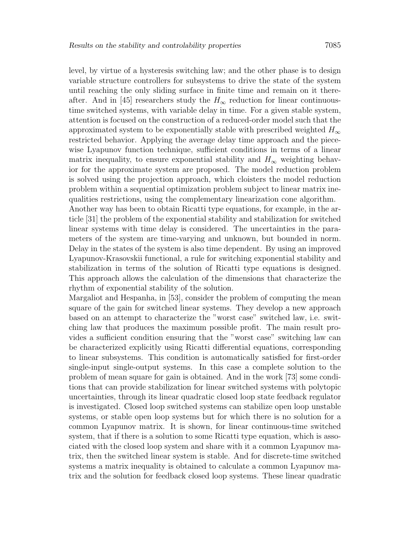level, by virtue of a hysteresis switching law; and the other phase is to design variable structure controllers for subsystems to drive the state of the system until reaching the only sliding surface in finite time and remain on it thereafter. And in [45] researchers study the  $H_{\infty}$  reduction for linear continuoustime switched systems, with variable delay in time. For a given stable system, attention is focused on the construction of a reduced-order model such that the approximated system to be exponentially stable with prescribed weighted  $H_{\infty}$ restricted behavior. Applying the average delay time approach and the piecewise Lyapunov function technique, sufficient conditions in terms of a linear matrix inequality, to ensure exponential stability and  $H_{\infty}$  weighting behavior for the approximate system are proposed. The model reduction problem is solved using the projection approach, which cloisters the model reduction problem within a sequential optimization problem subject to linear matrix inequalities restrictions, using the complementary linearization cone algorithm.

Another way has been to obtain Ricatti type equations, for example, in the article [31] the problem of the exponential stability and stabilization for switched linear systems with time delay is considered. The uncertainties in the parameters of the system are time-varying and unknown, but bounded in norm. Delay in the states of the system is also time dependent. By using an improved Lyapunov-Krasovskii functional, a rule for switching exponential stability and stabilization in terms of the solution of Ricatti type equations is designed. This approach allows the calculation of the dimensions that characterize the rhythm of exponential stability of the solution.

Margaliot and Hespanha, in [53], consider the problem of computing the mean square of the gain for switched linear systems. They develop a new approach based on an attempt to characterize the "worst case" switched law, i.e. switching law that produces the maximum possible profit. The main result provides a sufficient condition ensuring that the "worst case" switching law can be characterized explicitly using Ricatti differential equations, corresponding to linear subsystems. This condition is automatically satisfied for first-order single-input single-output systems. In this case a complete solution to the problem of mean square for gain is obtained. And in the work [73] some conditions that can provide stabilization for linear switched systems with polytopic uncertainties, through its linear quadratic closed loop state feedback regulator is investigated. Closed loop switched systems can stabilize open loop unstable systems, or stable open loop systems but for which there is no solution for a common Lyapunov matrix. It is shown, for linear continuous-time switched system, that if there is a solution to some Ricatti type equation, which is associated with the closed loop system and share with it a common Lyapunov matrix, then the switched linear system is stable. And for discrete-time switched systems a matrix inequality is obtained to calculate a common Lyapunov matrix and the solution for feedback closed loop systems. These linear quadratic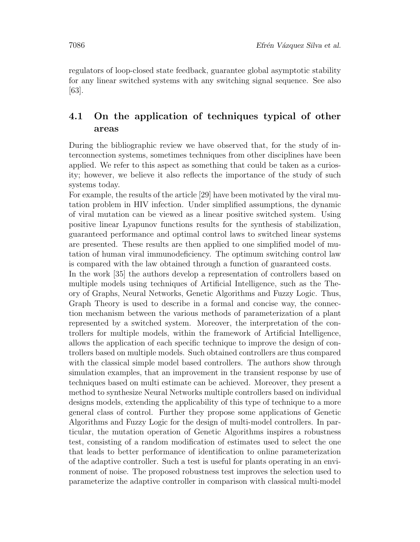regulators of loop-closed state feedback, guarantee global asymptotic stability for any linear switched systems with any switching signal sequence. See also [63].

### 4.1 On the application of techniques typical of other areas

During the bibliographic review we have observed that, for the study of interconnection systems, sometimes techniques from other disciplines have been applied. We refer to this aspect as something that could be taken as a curiosity; however, we believe it also reflects the importance of the study of such systems today.

For example, the results of the article [29] have been motivated by the viral mutation problem in HIV infection. Under simplified assumptions, the dynamic of viral mutation can be viewed as a linear positive switched system. Using positive linear Lyapunov functions results for the synthesis of stabilization, guaranteed performance and optimal control laws to switched linear systems are presented. These results are then applied to one simplified model of mutation of human viral immunodeficiency. The optimum switching control law is compared with the law obtained through a function of guaranteed costs.

In the work [35] the authors develop a representation of controllers based on multiple models using techniques of Artificial Intelligence, such as the Theory of Graphs, Neural Networks, Genetic Algorithms and Fuzzy Logic. Thus, Graph Theory is used to describe in a formal and concise way, the connection mechanism between the various methods of parameterization of a plant represented by a switched system. Moreover, the interpretation of the controllers for multiple models, within the framework of Artificial Intelligence, allows the application of each specific technique to improve the design of controllers based on multiple models. Such obtained controllers are thus compared with the classical simple model based controllers. The authors show through simulation examples, that an improvement in the transient response by use of techniques based on multi estimate can be achieved. Moreover, they present a method to synthesize Neural Networks multiple controllers based on individual designs models, extending the applicability of this type of technique to a more general class of control. Further they propose some applications of Genetic Algorithms and Fuzzy Logic for the design of multi-model controllers. In particular, the mutation operation of Genetic Algorithms inspires a robustness test, consisting of a random modification of estimates used to select the one that leads to better performance of identification to online parameterization of the adaptive controller. Such a test is useful for plants operating in an environment of noise. The proposed robustness test improves the selection used to parameterize the adaptive controller in comparison with classical multi-model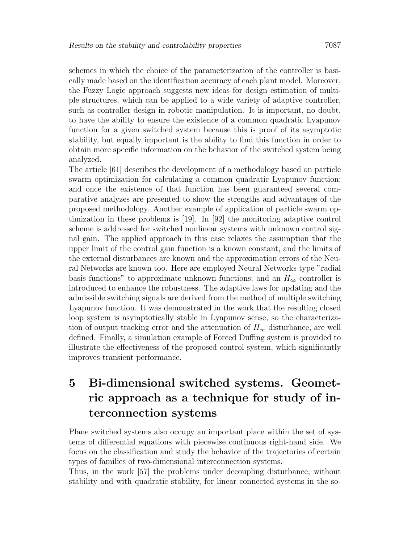schemes in which the choice of the parameterization of the controller is basically made based on the identification accuracy of each plant model. Moreover, the Fuzzy Logic approach suggests new ideas for design estimation of multiple structures, which can be applied to a wide variety of adaptive controller, such as controller design in robotic manipulation. It is important, no doubt, to have the ability to ensure the existence of a common quadratic Lyapunov function for a given switched system because this is proof of its asymptotic stability, but equally important is the ability to find this function in order to obtain more specific information on the behavior of the switched system being analyzed.

The article [61] describes the development of a methodology based on particle swarm optimization for calculating a common quadratic Lyapunov function; and once the existence of that function has been guaranteed several comparative analyzes are presented to show the strengths and advantages of the proposed methodology. Another example of application of particle swarm optimization in these problems is [19]. In [92] the monitoring adaptive control scheme is addressed for switched nonlinear systems with unknown control signal gain. The applied approach in this case relaxes the assumption that the upper limit of the control gain function is a known constant, and the limits of the external disturbances are known and the approximation errors of the Neural Networks are known too. Here are employed Neural Networks type "radial basis functions" to approximate unknown functions; and an  $H_{\infty}$  controller is introduced to enhance the robustness. The adaptive laws for updating and the admissible switching signals are derived from the method of multiple switching Lyapunov function. It was demonstrated in the work that the resulting closed loop system is asymptotically stable in Lyapunov sense, so the characterization of output tracking error and the attenuation of  $H_{\infty}$  disturbance, are well defined. Finally, a simulation example of Forced Duffing system is provided to illustrate the effectiveness of the proposed control system, which significantly improves transient performance.

# 5 Bi-dimensional switched systems. Geometric approach as a technique for study of interconnection systems

Plane switched systems also occupy an important place within the set of systems of differential equations with piecewise continuous right-hand side. We focus on the classification and study the behavior of the trajectories of certain types of families of two-dimensional interconnection systems.

Thus, in the work [57] the problems under decoupling disturbance, without stability and with quadratic stability, for linear connected systems in the so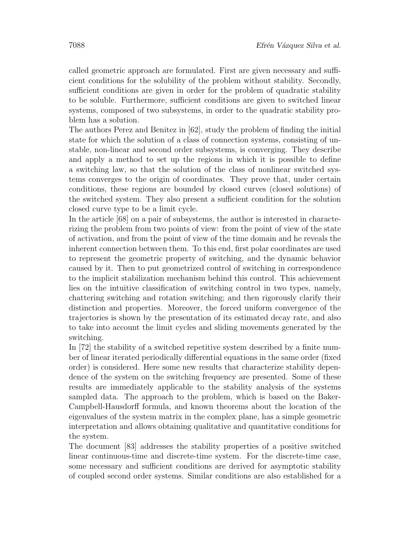called geometric approach are formulated. First are given necessary and sufficient conditions for the solubility of the problem without stability. Secondly, sufficient conditions are given in order for the problem of quadratic stability to be soluble. Furthermore, sufficient conditions are given to switched linear systems, composed of two subsystems, in order to the quadratic stability problem has a solution.

The authors Perez and Benitez in [62], study the problem of finding the initial state for which the solution of a class of connection systems, consisting of unstable, non-linear and second order subsystems, is converging. They describe and apply a method to set up the regions in which it is possible to define a switching law, so that the solution of the class of nonlinear switched systems converges to the origin of coordinates. They prove that, under certain conditions, these regions are bounded by closed curves (closed solutions) of the switched system. They also present a sufficient condition for the solution closed curve type to be a limit cycle.

In the article [68] on a pair of subsystems, the author is interested in characterizing the problem from two points of view: from the point of view of the state of activation, and from the point of view of the time domain and he reveals the inherent connection between them. To this end, first polar coordinates are used to represent the geometric property of switching, and the dynamic behavior caused by it. Then to put geometrized control of switching in correspondence to the implicit stabilization mechanism behind this control. This achievement lies on the intuitive classification of switching control in two types, namely, chattering switching and rotation switching; and then rigorously clarify their distinction and properties. Moreover, the forced uniform convergence of the trajectories is shown by the presentation of its estimated decay rate, and also to take into account the limit cycles and sliding movements generated by the switching.

In [72] the stability of a switched repetitive system described by a finite number of linear iterated periodically differential equations in the same order (fixed order) is considered. Here some new results that characterize stability dependence of the system on the switching frequency are presented. Some of these results are immediately applicable to the stability analysis of the systems sampled data. The approach to the problem, which is based on the Baker-Campbell-Hausdorff formula, and known theorems about the location of the eigenvalues of the system matrix in the complex plane, has a simple geometric interpretation and allows obtaining qualitative and quantitative conditions for the system.

The document [83] addresses the stability properties of a positive switched linear continuous-time and discrete-time system. For the discrete-time case, some necessary and sufficient conditions are derived for asymptotic stability of coupled second order systems. Similar conditions are also established for a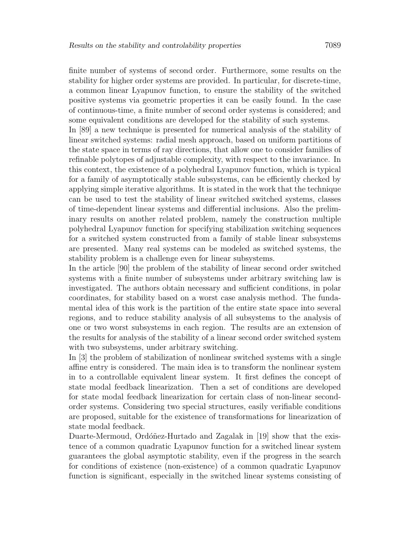finite number of systems of second order. Furthermore, some results on the stability for higher order systems are provided. In particular, for discrete-time, a common linear Lyapunov function, to ensure the stability of the switched positive systems via geometric properties it can be easily found. In the case of continuous-time, a finite number of second order systems is considered; and some equivalent conditions are developed for the stability of such systems.

In [89] a new technique is presented for numerical analysis of the stability of linear switched systems: radial mesh approach, based on uniform partitions of the state space in terms of ray directions, that allow one to consider families of refinable polytopes of adjustable complexity, with respect to the invariance. In this context, the existence of a polyhedral Lyapunov function, which is typical for a family of asymptotically stable subsystems, can be efficiently checked by applying simple iterative algorithms. It is stated in the work that the technique can be used to test the stability of linear switched switched systems, classes of time-dependent linear systems and differential inclusions. Also the preliminary results on another related problem, namely the construction multiple polyhedral Lyapunov function for specifying stabilization switching sequences for a switched system constructed from a family of stable linear subsystems are presented. Many real systems can be modeled as switched systems, the stability problem is a challenge even for linear subsystems.

In the article [90] the problem of the stability of linear second order switched systems with a finite number of subsystems under arbitrary switching law is investigated. The authors obtain necessary and sufficient conditions, in polar coordinates, for stability based on a worst case analysis method. The fundamental idea of this work is the partition of the entire state space into several regions, and to reduce stability analysis of all subsystems to the analysis of one or two worst subsystems in each region. The results are an extension of the results for analysis of the stability of a linear second order switched system with two subsystems, under arbitrary switching.

In [3] the problem of stabilization of nonlinear switched systems with a single affine entry is considered. The main idea is to transform the nonlinear system in to a controllable equivalent linear system. It first defines the concept of state modal feedback linearization. Then a set of conditions are developed for state modal feedback linearization for certain class of non-linear secondorder systems. Considering two special structures, easily verifiable conditions are proposed, suitable for the existence of transformations for linearization of state modal feedback.

Duarte-Mermoud, Ordóñez-Hurtado and Zagalak in [19] show that the existence of a common quadratic Lyapunov function for a switched linear system guarantees the global asymptotic stability, even if the progress in the search for conditions of existence (non-existence) of a common quadratic Lyapunov function is significant, especially in the switched linear systems consisting of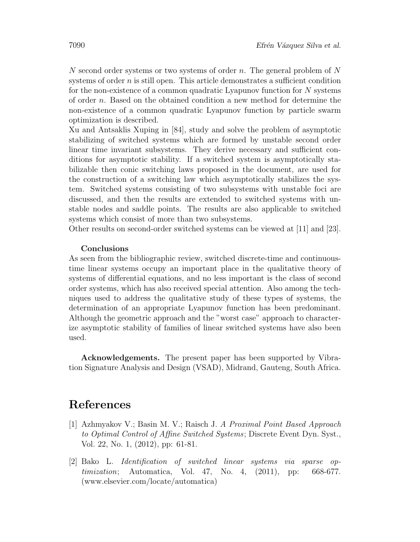N second order systems or two systems of order n. The general problem of N systems of order n is still open. This article demonstrates a sufficient condition for the non-existence of a common quadratic Lyapunov function for N systems of order n. Based on the obtained condition a new method for determine the non-existence of a common quadratic Lyapunov function by particle swarm optimization is described.

Xu and Antsaklis Xuping in [84], study and solve the problem of asymptotic stabilizing of switched systems which are formed by unstable second order linear time invariant subsystems. They derive necessary and sufficient conditions for asymptotic stability. If a switched system is asymptotically stabilizable then conic switching laws proposed in the document, are used for the construction of a switching law which asymptotically stabilizes the system. Switched systems consisting of two subsystems with unstable foci are discussed, and then the results are extended to switched systems with unstable nodes and saddle points. The results are also applicable to switched systems which consist of more than two subsystems.

Other results on second-order switched systems can be viewed at [11] and [23].

#### Conclusions

As seen from the bibliographic review, switched discrete-time and continuoustime linear systems occupy an important place in the qualitative theory of systems of differential equations, and no less important is the class of second order systems, which has also received special attention. Also among the techniques used to address the qualitative study of these types of systems, the determination of an appropriate Lyapunov function has been predominant. Although the geometric approach and the "worst case" approach to characterize asymptotic stability of families of linear switched systems have also been used.

Acknowledgements. The present paper has been supported by Vibration Signature Analysis and Design (VSAD), Midrand, Gauteng, South Africa.

### References

- [1] Azhmyakov V.; Basin M. V.; Raisch J. A Proximal Point Based Approach to Optimal Control of Affine Switched Systems; Discrete Event Dyn. Syst., Vol. 22, No. 1, (2012), pp: 61-81.
- [2] Bako L. Identification of switched linear systems via sparse optimization; Automatica, Vol. 47, No. 4, (2011), pp: 668-677. (www.elsevier.com/locate/automatica)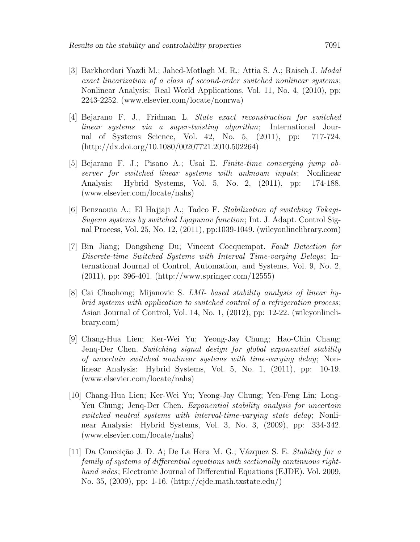- [3] Barkhordari Yazdi M.; Jahed-Motlagh M. R.; Attia S. A.; Raisch J. Modal exact linearization of a class of second-order switched nonlinear systems; Nonlinear Analysis: Real World Applications, Vol. 11, No. 4, (2010), pp: 2243-2252. (www.elsevier.com/locate/nonrwa)
- [4] Bejarano F. J., Fridman L. State exact reconstruction for switched linear systems via a super-twisting algorithm; International Journal of Systems Science, Vol. 42, No. 5, (2011), pp: 717-724. (http://dx.doi.org/10.1080/00207721.2010.502264)
- [5] Bejarano F. J.; Pisano A.; Usai E. Finite-time converging jump observer for switched linear systems with unknown inputs; Nonlinear Analysis: Hybrid Systems, Vol. 5, No. 2, (2011), pp: 174-188. (www.elsevier.com/locate/nahs)
- [6] Benzaouia A.; El Hajjaji A.; Tadeo F. Stabilization of switching Takagi-Sugeno systems by switched Lyapunov function; Int. J. Adapt. Control Signal Process, Vol. 25, No. 12, (2011), pp:1039-1049. (wileyonlinelibrary.com)
- [7] Bin Jiang; Dongsheng Du; Vincent Cocquempot. Fault Detection for Discrete-time Switched Systems with Interval Time-varying Delays; International Journal of Control, Automation, and Systems, Vol. 9, No. 2, (2011), pp: 396-401. (http://www.springer.com/12555)
- [8] Cai Chaohong; Mijanovic S. LMI- based stability analysis of linear hybrid systems with application to switched control of a refrigeration process; Asian Journal of Control, Vol. 14, No. 1, (2012), pp: 12-22. (wileyonlinelibrary.com)
- [9] Chang-Hua Lien; Ker-Wei Yu; Yeong-Jay Chung; Hao-Chin Chang; Jenq-Der Chen. Switching signal design for global exponential stability of uncertain switched nonlinear systems with time-varying delay; Nonlinear Analysis: Hybrid Systems, Vol. 5, No. 1, (2011), pp: 10-19. (www.elsevier.com/locate/nahs)
- [10] Chang-Hua Lien; Ker-Wei Yu; Yeong-Jay Chung; Yen-Feng Lin; Long-Yeu Chung; Jenq-Der Chen. Exponential stability analysis for uncertain switched neutral systems with interval-time-varying state delay; Nonlinear Analysis: Hybrid Systems, Vol. 3, No. 3, (2009), pp: 334-342. (www.elsevier.com/locate/nahs)
- [11] Da Conceição J. D. A; De La Hera M. G.; Vázquez S. E. Stability for a family of systems of differential equations with sectionally continuous righthand sides; Electronic Journal of Differential Equations (EJDE). Vol. 2009, No. 35, (2009), pp: 1-16. (http://ejde.math.txstate.edu/)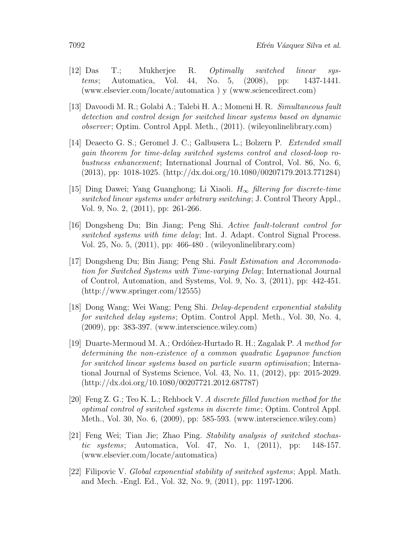- [12] Das T.; Mukherjee R. Optimally switched linear systems; Automatica, Vol. 44, No. 5, (2008), pp: 1437-1441. (www.elsevier.com/locate/automatica ) y (www.sciencedirect.com)
- [13] Davoodi M. R.; Golabi A.; Talebi H. A.; Momeni H. R. Simultaneous fault detection and control design for switched linear systems based on dynamic observer; Optim. Control Appl. Meth., (2011). (wileyonlinelibrary.com)
- [14] Deaecto G. S.; Geromel J. C.; Galbusera L.; Bolzern P. Extended small gain theorem for time-delay switched systems control and closed-loop robustness enhancement; International Journal of Control, Vol. 86, No. 6, (2013), pp: 1018-1025. (http://dx.doi.org/10.1080/00207179.2013.771284)
- [15] Ding Dawei; Yang Guanghong; Li Xiaoli.  $H_{\infty}$  filtering for discrete-time switched linear systems under arbitrary switching; J. Control Theory Appl., Vol. 9, No. 2, (2011), pp: 261-266.
- [16] Dongsheng Du; Bin Jiang; Peng Shi. Active fault-tolerant control for switched systems with time delay; Int. J. Adapt. Control Signal Process. Vol. 25, No. 5, (2011), pp: 466-480 . (wileyonlinelibrary.com)
- [17] Dongsheng Du; Bin Jiang; Peng Shi. Fault Estimation and Accommodation for Switched Systems with Time-varying Delay; International Journal of Control, Automation, and Systems, Vol. 9, No. 3, (2011), pp: 442-451. (http://www.springer.com/12555)
- [18] Dong Wang; Wei Wang; Peng Shi. Delay-dependent exponential stability for switched delay systems; Optim. Control Appl. Meth., Vol. 30, No. 4, (2009), pp: 383-397. (www.interscience.wiley.com)
- [19] Duarte-Mermoud M. A.; Ordóñez-Hurtado R. H.; Zagalak P. A method for determining the non-existence of a common quadratic Lyapunov function for switched linear systems based on particle swarm optimisation; International Journal of Systems Science, Vol. 43, No. 11, (2012), pp: 2015-2029. (http://dx.doi.org/10.1080/00207721.2012.687787)
- [20] Feng Z. G.; Teo K. L.; Rehbock V. A discrete filled function method for the optimal control of switched systems in discrete time; Optim. Control Appl. Meth., Vol. 30, No. 6, (2009), pp: 585-593. (www.interscience.wiley.com)
- [21] Feng Wei; Tian Jie; Zhao Ping. Stability analysis of switched stochastic systems; Automatica, Vol. 47, No. 1, (2011), pp: 148-157. (www.elsevier.com/locate/automatica)
- [22] Filipovic V. Global exponential stability of switched systems; Appl. Math. and Mech. -Engl. Ed., Vol. 32, No. 9, (2011), pp: 1197-1206.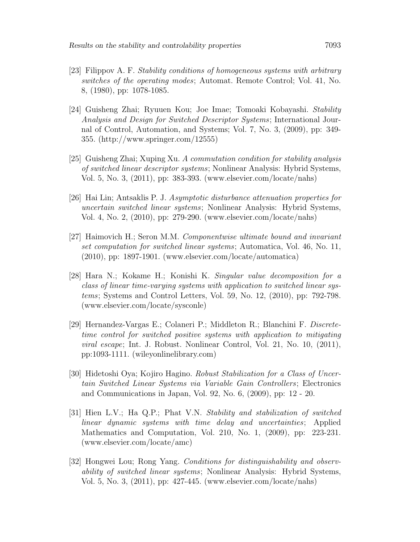- [23] Filippov A. F. Stability conditions of homogeneous systems with arbitrary switches of the operating modes; Automat. Remote Control; Vol. 41, No. 8, (1980), pp: 1078-1085.
- [24] Guisheng Zhai; Ryuuen Kou; Joe Imae; Tomoaki Kobayashi. Stability Analysis and Design for Switched Descriptor Systems; International Journal of Control, Automation, and Systems; Vol. 7, No. 3, (2009), pp: 349- 355. (http://www.springer.com/12555)
- [25] Guisheng Zhai; Xuping Xu. A commutation condition for stability analysis of switched linear descriptor systems; Nonlinear Analysis: Hybrid Systems, Vol. 5, No. 3, (2011), pp: 383-393. (www.elsevier.com/locate/nahs)
- [26] Hai Lin; Antsaklis P. J. Asymptotic disturbance attenuation properties for uncertain switched linear systems; Nonlinear Analysis: Hybrid Systems, Vol. 4, No. 2, (2010), pp: 279-290. (www.elsevier.com/locate/nahs)
- [27] Haimovich H.; Seron M.M. Componentwise ultimate bound and invariant set computation for switched linear systems; Automatica, Vol. 46, No. 11, (2010), pp: 1897-1901. (www.elsevier.com/locate/automatica)
- [28] Hara N.; Kokame H.; Konishi K. Singular value decomposition for a class of linear time-varying systems with application to switched linear systems; Systems and Control Letters, Vol. 59, No. 12, (2010), pp: 792-798. (www.elsevier.com/locate/sysconle)
- [29] Hernandez-Vargas E.; Colaneri P.; Middleton R.; Blanchini F. Discretetime control for switched positive systems with application to mitigating viral escape; Int. J. Robust. Nonlinear Control, Vol. 21, No. 10, (2011), pp:1093-1111. (wileyonlinelibrary.com)
- [30] Hidetoshi Oya; Kojiro Hagino. Robust Stabilization for a Class of Uncertain Switched Linear Systems via Variable Gain Controllers; Electronics and Communications in Japan, Vol. 92, No. 6, (2009), pp: 12 - 20.
- [31] Hien L.V.; Ha Q.P.; Phat V.N. Stability and stabilization of switched linear dynamic systems with time delay and uncertainties; Applied Mathematics and Computation, Vol. 210, No. 1, (2009), pp: 223-231. (www.elsevier.com/locate/amc)
- [32] Hongwei Lou; Rong Yang. Conditions for distinguishability and observability of switched linear systems; Nonlinear Analysis: Hybrid Systems, Vol. 5, No. 3, (2011), pp: 427-445. (www.elsevier.com/locate/nahs)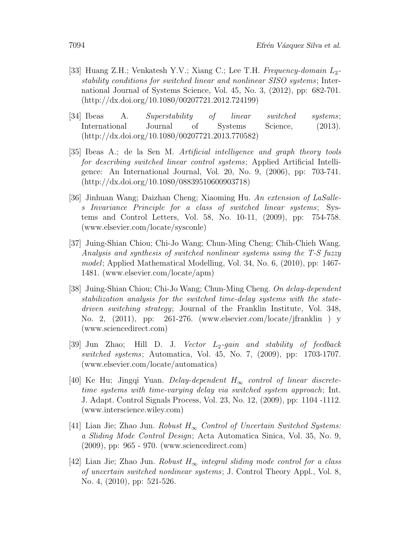- [33] Huang Z.H.; Venkatesh Y.V.; Xiang C.; Lee T.H. Frequency-domain  $L_2$ stability conditions for switched linear and nonlinear SISO systems; International Journal of Systems Science, Vol. 45, No. 3, (2012), pp: 682-701. (http://dx.doi.org/10.1080/00207721.2012.724199)
- [34] Ibeas A. Superstability of linear switched systems; International Journal of Systems Science, (2013). (http://dx.doi.org/10.1080/00207721.2013.770582)
- [35] Ibeas A.; de la Sen M. Artificial intelligence and graph theory tools for describing switched linear control systems; Applied Artificial Intelligence: An International Journal, Vol. 20, No. 9, (2006), pp: 703-741. (http://dx.doi.org/10.1080/08839510600903718)
- [36] Jinhuan Wang; Daizhan Cheng; Xiaoming Hu. An extension of LaSalles Invariance Principle for a class of switched linear systems; Systems and Control Letters, Vol. 58, No. 10-11, (2009), pp: 754-758. (www.elsevier.com/locate/sysconle)
- [37] Juing-Shian Chiou; Chi-Jo Wang; Chun-Ming Cheng; Chih-Chieh Wang. Analysis and synthesis of switched nonlinear systems using the T-S fuzzy model; Applied Mathematical Modelling, Vol. 34, No. 6, (2010), pp: 1467- 1481. (www.elsevier.com/locate/apm)
- [38] Juing-Shian Chiou; Chi-Jo Wang; Chun-Ming Cheng. On delay-dependent stabilization analysis for the switched time-delay systems with the statedriven switching strategy; Journal of the Franklin Institute, Vol. 348, No. 2, (2011), pp: 261-276. (www.elsevier.com/locate/jfranklin ) y (www.sciencedirect.com)
- [39] Jun Zhao; Hill D. J. Vector  $L_2$ -gain and stability of feedback switched systems; Automatica, Vol. 45, No. 7, (2009), pp: 1703-1707. (www.elsevier.com/locate/automatica)
- [40] Ke Hu; Jingqi Yuan. Delay-dependent  $H_{\infty}$  control of linear discretetime systems with time-varying delay via switched system approach; Int. J. Adapt. Control Signals Process, Vol. 23, No. 12, (2009), pp: 1104 -1112. (www.interscience.wiley.com)
- [41] Lian Jie; Zhao Jun. Robust  $H_{\infty}$  Control of Uncertain Switched Systems: a Sliding Mode Control Design; Acta Automatica Sinica, Vol. 35, No. 9, (2009), pp: 965 - 970. (www.sciencedirect.com)
- [42] Lian Jie; Zhao Jun. Robust  $H_{\infty}$  integral sliding mode control for a class of uncertain switched nonlinear systems; J. Control Theory Appl., Vol. 8, No. 4, (2010), pp: 521-526.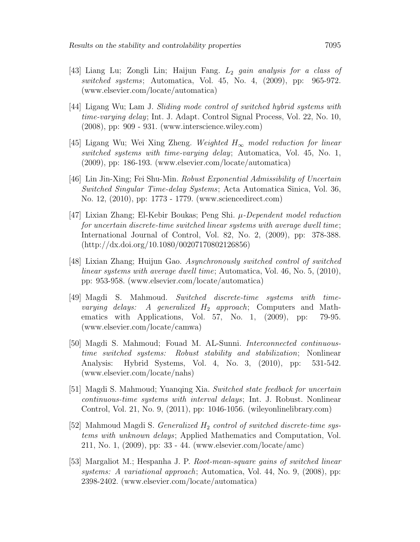- [43] Liang Lu; Zongli Lin; Haijun Fang.  $L_2$  gain analysis for a class of switched systems; Automatica, Vol. 45, No. 4, (2009), pp: 965-972. (www.elsevier.com/locate/automatica)
- [44] Ligang Wu; Lam J. Sliding mode control of switched hybrid systems with time-varying delay; Int. J. Adapt. Control Signal Process, Vol. 22, No. 10, (2008), pp: 909 - 931. (www.interscience.wiley.com)
- [45] Ligang Wu; Wei Xing Zheng. Weighted  $H_{\infty}$  model reduction for linear switched systems with time-varying delay; Automatica, Vol. 45, No. 1, (2009), pp: 186-193. (www.elsevier.com/locate/automatica)
- [46] Lin Jin-Xing; Fei Shu-Min. Robust Exponential Admissibility of Uncertain Switched Singular Time-delay Systems; Acta Automatica Sinica, Vol. 36, No. 12, (2010), pp: 1773 - 1779. (www.sciencedirect.com)
- [47] Lixian Zhang; El-Kebir Boukas; Peng Shi. µ-Dependent model reduction for uncertain discrete-time switched linear systems with average dwell time; International Journal of Control, Vol. 82, No. 2, (2009), pp: 378-388. (http://dx.doi.org/10.1080/00207170802126856)
- [48] Lixian Zhang; Huijun Gao. Asynchronously switched control of switched linear systems with average dwell time; Automatica, Vol. 46, No. 5, (2010), pp: 953-958. (www.elsevier.com/locate/automatica)
- [49] Magdi S. Mahmoud. Switched discrete-time systems with time*varying delays:* A generalized  $H_2$  approach; Computers and Mathematics with Applications, Vol. 57, No. 1, (2009), pp: 79-95. (www.elsevier.com/locate/camwa)
- [50] Magdi S. Mahmoud; Fouad M. AL-Sunni. Interconnected continuoustime switched systems: Robust stability and stabilization; Nonlinear Analysis: Hybrid Systems, Vol. 4, No. 3, (2010), pp: 531-542. (www.elsevier.com/locate/nahs)
- [51] Magdi S. Mahmoud; Yuanqing Xia. Switched state feedback for uncertain continuous-time systems with interval delays; Int. J. Robust. Nonlinear Control, Vol. 21, No. 9, (2011), pp: 1046-1056. (wileyonlinelibrary.com)
- [52] Mahmoud Magdi S. *Generalized H<sub>2</sub>* control of switched discrete-time systems with unknown delays; Applied Mathematics and Computation, Vol. 211, No. 1, (2009), pp: 33 - 44. (www.elsevier.com/locate/amc)
- [53] Margaliot M.; Hespanha J. P. Root-mean-square gains of switched linear systems: A variational approach; Automatica, Vol. 44, No. 9, (2008), pp: 2398-2402. (www.elsevier.com/locate/automatica)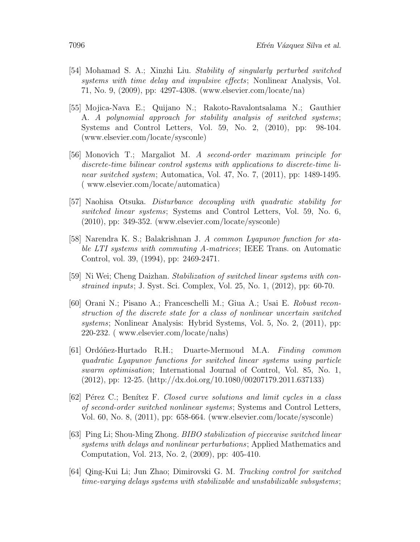- [54] Mohamad S. A.; Xinzhi Liu. Stability of singularly perturbed switched systems with time delay and impulsive effects; Nonlinear Analysis, Vol. 71, No. 9, (2009), pp: 4297-4308. (www.elsevier.com/locate/na)
- [55] Mojica-Nava E.; Quijano N.; Rakoto-Ravalontsalama N.; Gauthier A. A polynomial approach for stability analysis of switched systems; Systems and Control Letters, Vol. 59, No. 2, (2010), pp: 98-104. (www.elsevier.com/locate/sysconle)
- [56] Monovich T.; Margaliot M. A second-order maximum principle for discrete-time bilinear control systems with applications to discrete-time linear switched system; Automatica, Vol. 47, No. 7, (2011), pp: 1489-1495. ( www.elsevier.com/locate/automatica)
- [57] Naohisa Otsuka. Disturbance decoupling with quadratic stability for switched linear systems; Systems and Control Letters, Vol. 59, No. 6, (2010), pp: 349-352. (www.elsevier.com/locate/sysconle)
- [58] Narendra K. S.; Balakrishnan J. A common Lyapunov function for stable LTI systems with commuting A-matrices; IEEE Trans. on Automatic Control, vol. 39, (1994), pp: 2469-2471.
- [59] Ni Wei; Cheng Daizhan. Stabilization of switched linear systems with constrained inputs; J. Syst. Sci. Complex, Vol. 25, No. 1, (2012), pp: 60-70.
- [60] Orani N.; Pisano A.; Franceschelli M.; Giua A.; Usai E. Robust reconstruction of the discrete state for a class of nonlinear uncertain switched systems; Nonlinear Analysis: Hybrid Systems, Vol. 5, No. 2, (2011), pp: 220-232. ( www.elsevier.com/locate/nahs)
- [61] Ordóñez-Hurtado R.H.; Duarte-Mermoud M.A. Finding common quadratic Lyapunov functions for switched linear systems using particle swarm optimisation; International Journal of Control, Vol. 85, No. 1, (2012), pp: 12-25. (http://dx.doi.org/10.1080/00207179.2011.637133)
- [62] Pérez C.; Benítez F. Closed curve solutions and limit cycles in a class of second-order switched nonlinear systems; Systems and Control Letters, Vol. 60, No. 8, (2011), pp: 658-664. (www.elsevier.com/locate/sysconle)
- [63] Ping Li; Shou-Ming Zhong. BIBO stabilization of piecewise switched linear systems with delays and nonlinear perturbations; Applied Mathematics and Computation, Vol. 213, No. 2, (2009), pp: 405-410.
- [64] Qing-Kui Li; Jun Zhao; Dimirovski G. M. Tracking control for switched time-varying delays systems with stabilizable and unstabilizable subsystems;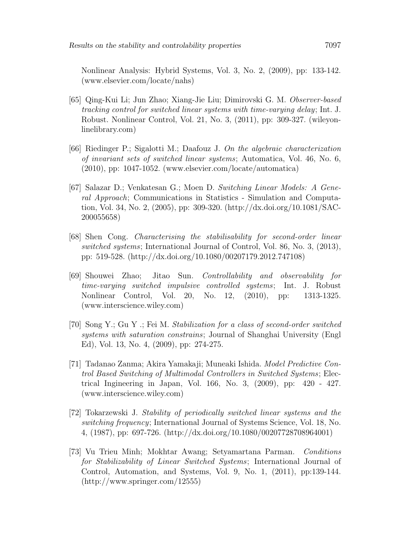Nonlinear Analysis: Hybrid Systems, Vol. 3, No. 2, (2009), pp: 133-142. (www.elsevier.com/locate/nahs)

- [65] Qing-Kui Li; Jun Zhao; Xiang-Jie Liu; Dimirovski G. M. Observer-based tracking control for switched linear systems with time-varying delay; Int. J. Robust. Nonlinear Control, Vol. 21, No. 3, (2011), pp: 309-327. (wileyonlinelibrary.com)
- [66] Riedinger P.; Sigalotti M.; Daafouz J. On the algebraic characterization of invariant sets of switched linear systems; Automatica, Vol. 46, No. 6, (2010), pp: 1047-1052. (www.elsevier.com/locate/automatica)
- [67] Salazar D.; Venkatesan G.; Moen D. Switching Linear Models: A General Approach; Communications in Statistics - Simulation and Computation, Vol. 34, No. 2, (2005), pp: 309-320. (http://dx.doi.org/10.1081/SAC-200055658)
- [68] Shen Cong. Characterising the stabilisability for second-order linear switched systems; International Journal of Control, Vol. 86, No. 3, (2013), pp: 519-528. (http://dx.doi.org/10.1080/00207179.2012.747108)
- [69] Shouwei Zhao; Jitao Sun. Controllability and observability for time-varying switched impulsive controlled systems; Int. J. Robust Nonlinear Control, Vol. 20, No. 12, (2010), pp: 1313-1325. (www.interscience.wiley.com)
- [70] Song Y.; Gu Y .; Fei M. Stabilization for a class of second-order switched systems with saturation constrains; Journal of Shanghai University (Engl Ed), Vol. 13, No. 4, (2009), pp: 274-275.
- [71] Tadanao Zanma; Akira Yamakaji; Muneaki Ishida. Model Predictive Control Based Switching of Multimodal Controllers in Switched Systems; Electrical Ingineering in Japan, Vol. 166, No. 3, (2009), pp: 420 - 427. (www.interscience.wiley.com)
- [72] Tokarzewski J. Stability of periodically switched linear systems and the switching frequency; International Journal of Systems Science, Vol. 18, No. 4, (1987), pp: 697-726. (http://dx.doi.org/10.1080/00207728708964001)
- [73] Vu Trieu Minh; Mokhtar Awang; Setyamartana Parman. Conditions for Stabilizability of Linear Switched Systems; International Journal of Control, Automation, and Systems, Vol. 9, No. 1, (2011), pp:139-144. (http://www.springer.com/12555)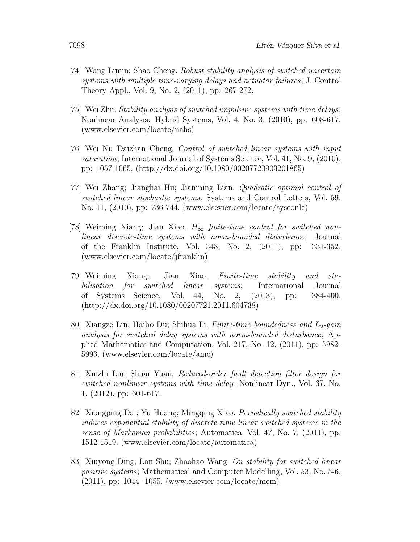- [74] Wang Limin; Shao Cheng. Robust stability analysis of switched uncertain systems with multiple time-varying delays and actuator failures; J. Control Theory Appl., Vol. 9, No. 2, (2011), pp: 267-272.
- [75] Wei Zhu. Stability analysis of switched impulsive systems with time delays; Nonlinear Analysis: Hybrid Systems, Vol. 4, No. 3, (2010), pp: 608-617. (www.elsevier.com/locate/nahs)
- [76] Wei Ni; Daizhan Cheng. Control of switched linear systems with input saturation; International Journal of Systems Science, Vol. 41, No. 9, (2010), pp: 1057-1065. (http://dx.doi.org/10.1080/00207720903201865)
- [77] Wei Zhang; Jianghai Hu; Jianming Lian. Quadratic optimal control of switched linear stochastic systems; Systems and Control Letters, Vol. 59, No. 11, (2010), pp: 736-744. (www.elsevier.com/locate/sysconle)
- [78] Weiming Xiang; Jian Xiao.  $H_{\infty}$  finite-time control for switched nonlinear discrete-time systems with norm-bounded disturbance; Journal of the Franklin Institute, Vol. 348, No. 2, (2011), pp: 331-352. (www.elsevier.com/locate/jfranklin)
- [79] Weiming Xiang; Jian Xiao. Finite-time stability and stabilisation for switched linear systems; International Journal of Systems Science, Vol. 44, No. 2, (2013), pp: 384-400. (http://dx.doi.org/10.1080/00207721.2011.604738)
- [80] Xiangze Lin; Haibo Du; Shihua Li. Finite-time boundedness and  $L_2$ -gain analysis for switched delay systems with norm-bounded disturbance; Applied Mathematics and Computation, Vol. 217, No. 12, (2011), pp: 5982- 5993. (www.elsevier.com/locate/amc)
- [81] Xinzhi Liu; Shuai Yuan. Reduced-order fault detection filter design for switched nonlinear systems with time delay; Nonlinear Dyn., Vol. 67, No. 1, (2012), pp: 601-617.
- [82] Xiongping Dai; Yu Huang; Mingqing Xiao. Periodically switched stability induces exponential stability of discrete-time linear switched systems in the sense of Markovian probabilities; Automatica, Vol. 47, No. 7, (2011), pp: 1512-1519. (www.elsevier.com/locate/automatica)
- [83] Xiuyong Ding; Lan Shu; Zhaohao Wang. On stability for switched linear positive systems; Mathematical and Computer Modelling, Vol. 53, No. 5-6, (2011), pp: 1044 -1055. (www.elsevier.com/locate/mcm)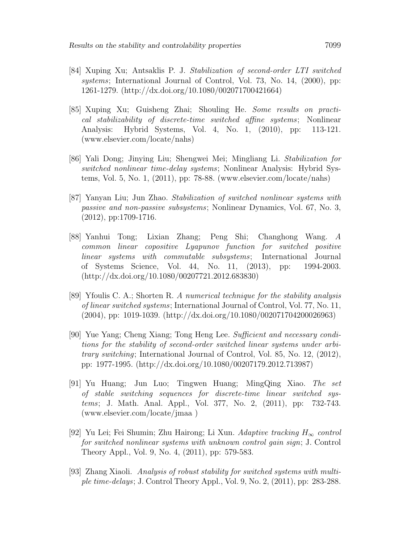- [84] Xuping Xu; Antsaklis P. J. Stabilization of second-order LTI switched systems; International Journal of Control, Vol. 73, No. 14, (2000), pp: 1261-1279. (http://dx.doi.org/10.1080/002071700421664)
- [85] Xuping Xu; Guisheng Zhai; Shouling He. Some results on practical stabilizability of discrete-time switched affine systems; Nonlinear Analysis: Hybrid Systems, Vol. 4, No. 1, (2010), pp: 113-121. (www.elsevier.com/locate/nahs)
- [86] Yali Dong; Jinying Liu; Shengwei Mei; Mingliang Li. Stabilization for switched nonlinear time-delay systems; Nonlinear Analysis: Hybrid Systems, Vol. 5, No. 1, (2011), pp: 78-88. (www.elsevier.com/locate/nahs)
- [87] Yanyan Liu; Jun Zhao. Stabilization of switched nonlinear systems with passive and non-passive subsystems; Nonlinear Dynamics, Vol. 67, No. 3, (2012), pp:1709-1716.
- [88] Yanhui Tong; Lixian Zhang; Peng Shi; Changhong Wang. A common linear copositive Lyapunov function for switched positive linear systems with commutable subsystems; International Journal of Systems Science, Vol. 44, No. 11, (2013), pp: 1994-2003. (http://dx.doi.org/10.1080/00207721.2012.683830)
- [89] Yfoulis C. A.; Shorten R. A numerical technique for the stability analysis of linear switched systems; International Journal of Control, Vol. 77, No. 11, (2004), pp: 1019-1039. (http://dx.doi.org/10.1080/002071704200026963)
- [90] Yue Yang; Cheng Xiang; Tong Heng Lee. Sufficient and necessary conditions for the stability of second-order switched linear systems under arbitrary switching; International Journal of Control, Vol. 85, No. 12, (2012), pp: 1977-1995. (http://dx.doi.org/10.1080/00207179.2012.713987)
- [91] Yu Huang; Jun Luo; Tingwen Huang; MingQing Xiao. The set of stable switching sequences for discrete-time linear switched systems; J. Math. Anal. Appl., Vol. 377, No. 2, (2011), pp: 732-743. (www.elsevier.com/locate/jmaa )
- [92] Yu Lei; Fei Shumin; Zhu Hairong; Li Xun. Adaptive tracking  $H_{\infty}$  control for switched nonlinear systems with unknown control gain sign; J. Control Theory Appl., Vol. 9, No. 4, (2011), pp: 579-583.
- [93] Zhang Xiaoli. Analysis of robust stability for switched systems with multiple time-delays; J. Control Theory Appl., Vol. 9, No. 2, (2011), pp: 283-288.